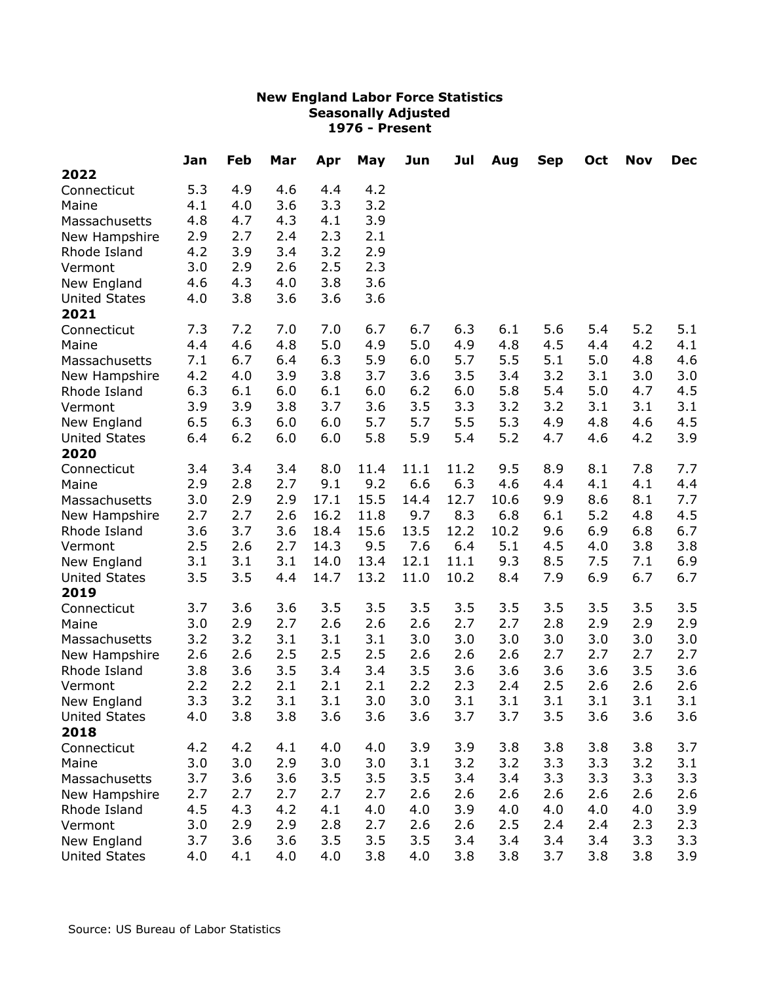|                      | Jan | Feb | Mar | Apr  | May  | Jun  | Jul  | Aug  | <b>Sep</b> | Oct | <b>Nov</b> | <b>Dec</b> |
|----------------------|-----|-----|-----|------|------|------|------|------|------------|-----|------------|------------|
| 2022                 |     |     |     |      |      |      |      |      |            |     |            |            |
| Connecticut          | 5.3 | 4.9 | 4.6 | 4.4  | 4.2  |      |      |      |            |     |            |            |
| Maine                | 4.1 | 4.0 | 3.6 | 3.3  | 3.2  |      |      |      |            |     |            |            |
| Massachusetts        | 4.8 | 4.7 | 4.3 | 4.1  | 3.9  |      |      |      |            |     |            |            |
| New Hampshire        | 2.9 | 2.7 | 2.4 | 2.3  | 2.1  |      |      |      |            |     |            |            |
| Rhode Island         | 4.2 | 3.9 | 3.4 | 3.2  | 2.9  |      |      |      |            |     |            |            |
| Vermont              | 3.0 | 2.9 | 2.6 | 2.5  | 2.3  |      |      |      |            |     |            |            |
| New England          | 4.6 | 4.3 | 4.0 | 3.8  | 3.6  |      |      |      |            |     |            |            |
| <b>United States</b> | 4.0 | 3.8 | 3.6 | 3.6  | 3.6  |      |      |      |            |     |            |            |
| 2021                 |     |     |     |      |      |      |      |      |            |     |            |            |
| Connecticut          | 7.3 | 7.2 | 7.0 | 7.0  | 6.7  | 6.7  | 6.3  | 6.1  | 5.6        | 5.4 | 5.2        | 5.1        |
| Maine                | 4.4 | 4.6 | 4.8 | 5.0  | 4.9  | 5.0  | 4.9  | 4.8  | 4.5        | 4.4 | 4.2        | 4.1        |
| Massachusetts        | 7.1 | 6.7 | 6.4 | 6.3  | 5.9  | 6.0  | 5.7  | 5.5  | 5.1        | 5.0 | 4.8        | 4.6        |
| New Hampshire        | 4.2 | 4.0 | 3.9 | 3.8  | 3.7  | 3.6  | 3.5  | 3.4  | 3.2        | 3.1 | 3.0        | 3.0        |
| Rhode Island         | 6.3 | 6.1 | 6.0 | 6.1  | 6.0  | 6.2  | 6.0  | 5.8  | 5.4        | 5.0 | 4.7        | 4.5        |
| Vermont              | 3.9 | 3.9 | 3.8 | 3.7  | 3.6  | 3.5  | 3.3  | 3.2  | 3.2        | 3.1 | 3.1        | 3.1        |
| New England          | 6.5 | 6.3 | 6.0 | 6.0  | 5.7  | 5.7  | 5.5  | 5.3  | 4.9        | 4.8 | 4.6        | 4.5        |
| <b>United States</b> | 6.4 | 6.2 | 6.0 | 6.0  | 5.8  | 5.9  | 5.4  | 5.2  | 4.7        | 4.6 | 4.2        | 3.9        |
| 2020                 |     |     |     |      |      |      |      |      |            |     |            |            |
| Connecticut          | 3.4 | 3.4 | 3.4 | 8.0  | 11.4 | 11.1 | 11.2 | 9.5  | 8.9        | 8.1 | 7.8        | 7.7        |
| Maine                | 2.9 | 2.8 | 2.7 | 9.1  | 9.2  | 6.6  | 6.3  | 4.6  | 4.4        | 4.1 | 4.1        | 4.4        |
| Massachusetts        | 3.0 | 2.9 | 2.9 | 17.1 | 15.5 | 14.4 | 12.7 | 10.6 | 9.9        | 8.6 | 8.1        | 7.7        |
| New Hampshire        | 2.7 | 2.7 | 2.6 | 16.2 | 11.8 | 9.7  | 8.3  | 6.8  | 6.1        | 5.2 | 4.8        | 4.5        |
| Rhode Island         | 3.6 | 3.7 | 3.6 | 18.4 | 15.6 | 13.5 | 12.2 | 10.2 | 9.6        | 6.9 | 6.8        | 6.7        |
| Vermont              | 2.5 | 2.6 | 2.7 | 14.3 | 9.5  | 7.6  | 6.4  | 5.1  | 4.5        | 4.0 | 3.8        | 3.8        |
| New England          | 3.1 | 3.1 | 3.1 | 14.0 | 13.4 | 12.1 | 11.1 | 9.3  | 8.5        | 7.5 | 7.1        | 6.9        |
| <b>United States</b> | 3.5 | 3.5 | 4.4 | 14.7 | 13.2 | 11.0 | 10.2 | 8.4  | 7.9        | 6.9 | 6.7        | 6.7        |
| 2019                 |     |     |     |      |      |      |      |      |            |     |            |            |
| Connecticut          | 3.7 | 3.6 | 3.6 | 3.5  | 3.5  | 3.5  | 3.5  | 3.5  | 3.5        | 3.5 | 3.5        | 3.5        |
| Maine                | 3.0 | 2.9 | 2.7 | 2.6  | 2.6  | 2.6  | 2.7  | 2.7  | 2.8        | 2.9 | 2.9        | 2.9        |
| Massachusetts        | 3.2 | 3.2 | 3.1 | 3.1  | 3.1  | 3.0  | 3.0  | 3.0  | 3.0        | 3.0 | 3.0        | 3.0        |
| New Hampshire        | 2.6 | 2.6 | 2.5 | 2.5  | 2.5  | 2.6  | 2.6  | 2.6  | 2.7        | 2.7 | 2.7        | 2.7        |
| Rhode Island         | 3.8 | 3.6 | 3.5 | 3.4  | 3.4  | 3.5  | 3.6  | 3.6  | 3.6        | 3.6 | 3.5        | 3.6        |
| Vermont              | 2.2 | 2.2 | 2.1 | 2.1  | 2.1  | 2.2  | 2.3  | 2.4  | 2.5        | 2.6 | 2.6        | 2.6        |
| New England          | 3.3 | 3.2 | 3.1 | 3.1  | 3.0  | 3.0  | 3.1  | 3.1  | 3.1        | 3.1 | 3.1        | 3.1        |
| <b>United States</b> | 4.0 | 3.8 | 3.8 | 3.6  | 3.6  | 3.6  | 3.7  | 3.7  | 3.5        | 3.6 | 3.6        | 3.6        |
| 2018                 |     |     |     |      |      |      |      |      |            |     |            |            |
| Connecticut          | 4.2 | 4.2 | 4.1 | 4.0  | 4.0  | 3.9  | 3.9  | 3.8  | 3.8        | 3.8 | 3.8        | 3.7        |
| Maine                | 3.0 | 3.0 | 2.9 | 3.0  | 3.0  | 3.1  | 3.2  | 3.2  | 3.3        | 3.3 | 3.2        | 3.1        |
| Massachusetts        | 3.7 | 3.6 | 3.6 | 3.5  | 3.5  | 3.5  | 3.4  | 3.4  | 3.3        | 3.3 | 3.3        | 3.3        |
| New Hampshire        | 2.7 | 2.7 | 2.7 | 2.7  | 2.7  | 2.6  | 2.6  | 2.6  | 2.6        | 2.6 | 2.6        | 2.6        |
| Rhode Island         | 4.5 | 4.3 | 4.2 | 4.1  | 4.0  | 4.0  | 3.9  | 4.0  | 4.0        | 4.0 | 4.0        | 3.9        |
| Vermont              | 3.0 | 2.9 | 2.9 | 2.8  | 2.7  | 2.6  | 2.6  | 2.5  | 2.4        | 2.4 | 2.3        | 2.3        |
| New England          | 3.7 | 3.6 | 3.6 | 3.5  | 3.5  | 3.5  | 3.4  | 3.4  | 3.4        | 3.4 | 3.3        | 3.3        |
| <b>United States</b> | 4.0 | 4.1 | 4.0 | 4.0  | 3.8  | 4.0  | 3.8  | 3.8  | 3.7        | 3.8 | 3.8        | 3.9        |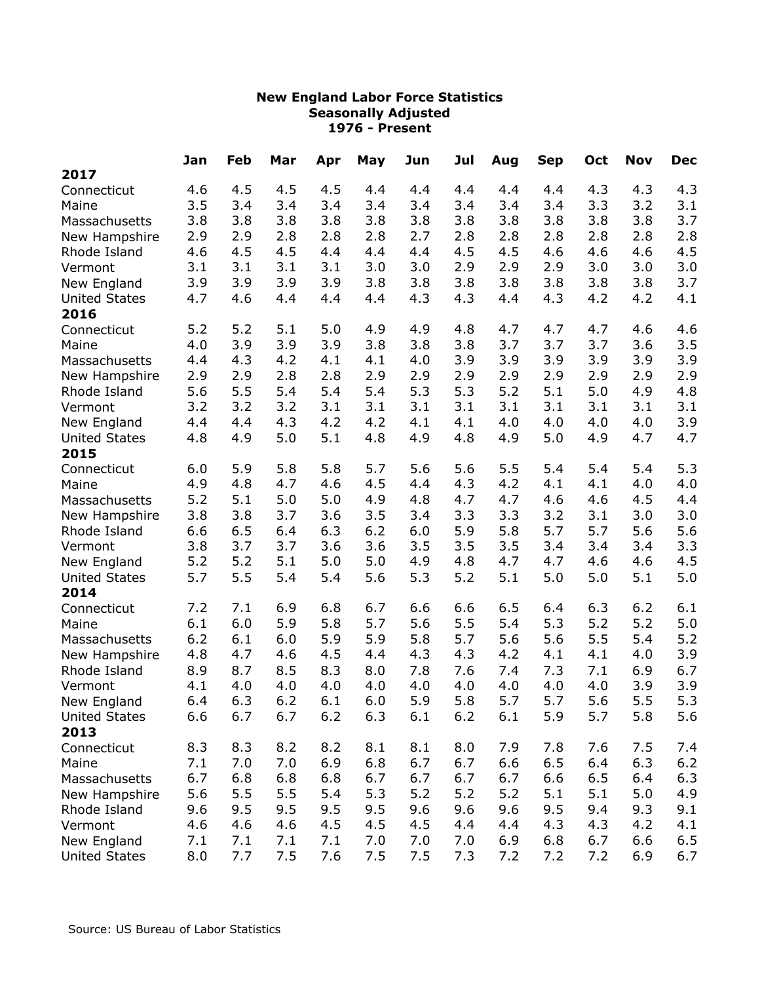|                      | Jan | Feb | Mar | Apr | May | Jun | Jul | Aug | <b>Sep</b> | Oct | <b>Nov</b> | <b>Dec</b> |
|----------------------|-----|-----|-----|-----|-----|-----|-----|-----|------------|-----|------------|------------|
| 2017                 |     |     |     |     |     |     |     |     |            |     |            |            |
| Connecticut          | 4.6 | 4.5 | 4.5 | 4.5 | 4.4 | 4.4 | 4.4 | 4.4 | 4.4        | 4.3 | 4.3        | 4.3        |
| Maine                | 3.5 | 3.4 | 3.4 | 3.4 | 3.4 | 3.4 | 3.4 | 3.4 | 3.4        | 3.3 | 3.2        | 3.1        |
| Massachusetts        | 3.8 | 3.8 | 3.8 | 3.8 | 3.8 | 3.8 | 3.8 | 3.8 | 3.8        | 3.8 | 3.8        | 3.7        |
| New Hampshire        | 2.9 | 2.9 | 2.8 | 2.8 | 2.8 | 2.7 | 2.8 | 2.8 | 2.8        | 2.8 | 2.8        | 2.8        |
| Rhode Island         | 4.6 | 4.5 | 4.5 | 4.4 | 4.4 | 4.4 | 4.5 | 4.5 | 4.6        | 4.6 | 4.6        | 4.5        |
| Vermont              | 3.1 | 3.1 | 3.1 | 3.1 | 3.0 | 3.0 | 2.9 | 2.9 | 2.9        | 3.0 | 3.0        | 3.0        |
| New England          | 3.9 | 3.9 | 3.9 | 3.9 | 3.8 | 3.8 | 3.8 | 3.8 | 3.8        | 3.8 | 3.8        | 3.7        |
| <b>United States</b> | 4.7 | 4.6 | 4.4 | 4.4 | 4.4 | 4.3 | 4.3 | 4.4 | 4.3        | 4.2 | 4.2        | 4.1        |
| 2016                 |     |     |     |     |     |     |     |     |            |     |            |            |
| Connecticut          | 5.2 | 5.2 | 5.1 | 5.0 | 4.9 | 4.9 | 4.8 | 4.7 | 4.7        | 4.7 | 4.6        | 4.6        |
| Maine                | 4.0 | 3.9 | 3.9 | 3.9 | 3.8 | 3.8 | 3.8 | 3.7 | 3.7        | 3.7 | 3.6        | 3.5        |
| Massachusetts        | 4.4 | 4.3 | 4.2 | 4.1 | 4.1 | 4.0 | 3.9 | 3.9 | 3.9        | 3.9 | 3.9        | 3.9        |
| New Hampshire        | 2.9 | 2.9 | 2.8 | 2.8 | 2.9 | 2.9 | 2.9 | 2.9 | 2.9        | 2.9 | 2.9        | 2.9        |
| Rhode Island         | 5.6 | 5.5 | 5.4 | 5.4 | 5.4 | 5.3 | 5.3 | 5.2 | 5.1        | 5.0 | 4.9        | 4.8        |
| Vermont              | 3.2 | 3.2 | 3.2 | 3.1 | 3.1 | 3.1 | 3.1 | 3.1 | 3.1        | 3.1 | 3.1        | 3.1        |
| New England          | 4.4 | 4.4 | 4.3 | 4.2 | 4.2 | 4.1 | 4.1 | 4.0 | 4.0        | 4.0 | 4.0        | 3.9        |
| <b>United States</b> | 4.8 | 4.9 | 5.0 | 5.1 | 4.8 | 4.9 | 4.8 | 4.9 | 5.0        | 4.9 | 4.7        | 4.7        |
| 2015                 |     |     |     |     |     |     |     |     |            |     |            |            |
| Connecticut          | 6.0 | 5.9 | 5.8 | 5.8 | 5.7 | 5.6 | 5.6 | 5.5 | 5.4        | 5.4 | 5.4        | 5.3        |
| Maine                | 4.9 | 4.8 | 4.7 | 4.6 | 4.5 | 4.4 | 4.3 | 4.2 | 4.1        | 4.1 | 4.0        | 4.0        |
| Massachusetts        | 5.2 | 5.1 | 5.0 | 5.0 | 4.9 | 4.8 | 4.7 | 4.7 | 4.6        | 4.6 | 4.5        | 4.4        |
| New Hampshire        | 3.8 | 3.8 | 3.7 | 3.6 | 3.5 | 3.4 | 3.3 | 3.3 | 3.2        | 3.1 | 3.0        | 3.0        |
| Rhode Island         | 6.6 | 6.5 | 6.4 | 6.3 | 6.2 | 6.0 | 5.9 | 5.8 | 5.7        | 5.7 | 5.6        | 5.6        |
| Vermont              | 3.8 | 3.7 | 3.7 | 3.6 | 3.6 | 3.5 | 3.5 | 3.5 | 3.4        | 3.4 | 3.4        | 3.3        |
| New England          | 5.2 | 5.2 | 5.1 | 5.0 | 5.0 | 4.9 | 4.8 | 4.7 | 4.7        | 4.6 | 4.6        | 4.5        |
| <b>United States</b> | 5.7 | 5.5 | 5.4 | 5.4 | 5.6 | 5.3 | 5.2 | 5.1 | 5.0        | 5.0 | 5.1        | 5.0        |
| 2014                 |     |     |     |     |     |     |     |     |            |     |            |            |
| Connecticut          | 7.2 | 7.1 | 6.9 | 6.8 | 6.7 | 6.6 | 6.6 | 6.5 | 6.4        | 6.3 | 6.2        | 6.1        |
| Maine                | 6.1 | 6.0 | 5.9 | 5.8 | 5.7 | 5.6 | 5.5 | 5.4 | 5.3        | 5.2 | 5.2        | 5.0        |
| Massachusetts        | 6.2 | 6.1 | 6.0 | 5.9 | 5.9 | 5.8 | 5.7 | 5.6 | 5.6        | 5.5 | 5.4        | 5.2        |
| New Hampshire        | 4.8 | 4.7 | 4.6 | 4.5 | 4.4 | 4.3 | 4.3 | 4.2 | 4.1        | 4.1 | 4.0        | 3.9        |
| Rhode Island         | 8.9 | 8.7 | 8.5 | 8.3 | 8.0 | 7.8 | 7.6 | 7.4 | 7.3        | 7.1 | 6.9        | 6.7        |
| Vermont              | 4.1 | 4.0 | 4.0 | 4.0 | 4.0 | 4.0 | 4.0 | 4.0 | 4.0        | 4.0 | 3.9        | 3.9        |
| New England          | 6.4 | 6.3 | 6.2 | 6.1 | 6.0 | 5.9 | 5.8 | 5.7 | 5.7        | 5.6 | 5.5        | 5.3        |
| <b>United States</b> | 6.6 | 6.7 | 6.7 | 6.2 | 6.3 | 6.1 | 6.2 | 6.1 | 5.9        | 5.7 | 5.8        | 5.6        |
| 2013                 |     |     |     |     |     |     |     |     |            |     |            |            |
| Connecticut          | 8.3 | 8.3 | 8.2 | 8.2 | 8.1 | 8.1 | 8.0 | 7.9 | 7.8        | 7.6 | 7.5        | 7.4        |
| Maine                | 7.1 | 7.0 | 7.0 | 6.9 | 6.8 | 6.7 | 6.7 | 6.6 | 6.5        | 6.4 | 6.3        | 6.2        |
| Massachusetts        | 6.7 | 6.8 | 6.8 | 6.8 | 6.7 | 6.7 | 6.7 | 6.7 | 6.6        | 6.5 | 6.4        | 6.3        |
| New Hampshire        | 5.6 | 5.5 | 5.5 | 5.4 | 5.3 | 5.2 | 5.2 | 5.2 | 5.1        | 5.1 | 5.0        | 4.9        |
| Rhode Island         | 9.6 | 9.5 | 9.5 | 9.5 | 9.5 | 9.6 | 9.6 | 9.6 | 9.5        | 9.4 | 9.3        | 9.1        |
| Vermont              | 4.6 | 4.6 | 4.6 | 4.5 | 4.5 | 4.5 | 4.4 | 4.4 | 4.3        | 4.3 | 4.2        | 4.1        |
| New England          | 7.1 | 7.1 | 7.1 | 7.1 | 7.0 | 7.0 | 7.0 | 6.9 | 6.8        | 6.7 | 6.6        | 6.5        |
| <b>United States</b> | 8.0 | 7.7 | 7.5 | 7.6 | 7.5 | 7.5 | 7.3 | 7.2 | 7.2        | 7.2 | 6.9        | 6.7        |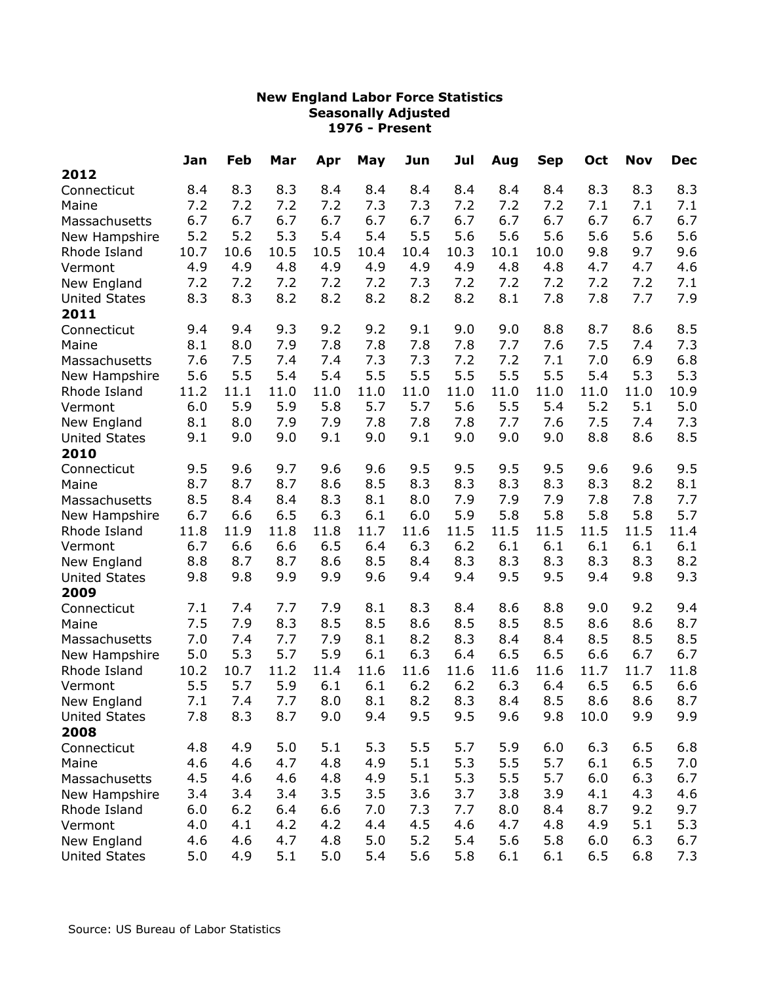|                      | Jan  | Feb  | Mar  | Apr  | May  | Jun  | Jul  | Aug  | <b>Sep</b> | Oct  | <b>Nov</b> | <b>Dec</b> |
|----------------------|------|------|------|------|------|------|------|------|------------|------|------------|------------|
| 2012                 |      |      |      |      |      |      |      |      |            |      |            |            |
| Connecticut          | 8.4  | 8.3  | 8.3  | 8.4  | 8.4  | 8.4  | 8.4  | 8.4  | 8.4        | 8.3  | 8.3        | 8.3        |
| Maine                | 7.2  | 7.2  | 7.2  | 7.2  | 7.3  | 7.3  | 7.2  | 7.2  | 7.2        | 7.1  | 7.1        | 7.1        |
| Massachusetts        | 6.7  | 6.7  | 6.7  | 6.7  | 6.7  | 6.7  | 6.7  | 6.7  | 6.7        | 6.7  | 6.7        | 6.7        |
| New Hampshire        | 5.2  | 5.2  | 5.3  | 5.4  | 5.4  | 5.5  | 5.6  | 5.6  | 5.6        | 5.6  | 5.6        | 5.6        |
| Rhode Island         | 10.7 | 10.6 | 10.5 | 10.5 | 10.4 | 10.4 | 10.3 | 10.1 | 10.0       | 9.8  | 9.7        | 9.6        |
| Vermont              | 4.9  | 4.9  | 4.8  | 4.9  | 4.9  | 4.9  | 4.9  | 4.8  | 4.8        | 4.7  | 4.7        | 4.6        |
| New England          | 7.2  | 7.2  | 7.2  | 7.2  | 7.2  | 7.3  | 7.2  | 7.2  | 7.2        | 7.2  | 7.2        | 7.1        |
| <b>United States</b> | 8.3  | 8.3  | 8.2  | 8.2  | 8.2  | 8.2  | 8.2  | 8.1  | 7.8        | 7.8  | 7.7        | 7.9        |
| 2011                 |      |      |      |      |      |      |      |      |            |      |            |            |
| Connecticut          | 9.4  | 9.4  | 9.3  | 9.2  | 9.2  | 9.1  | 9.0  | 9.0  | 8.8        | 8.7  | 8.6        | 8.5        |
| Maine                | 8.1  | 8.0  | 7.9  | 7.8  | 7.8  | 7.8  | 7.8  | 7.7  | 7.6        | 7.5  | 7.4        | 7.3        |
| Massachusetts        | 7.6  | 7.5  | 7.4  | 7.4  | 7.3  | 7.3  | 7.2  | 7.2  | 7.1        | 7.0  | 6.9        | 6.8        |
| New Hampshire        | 5.6  | 5.5  | 5.4  | 5.4  | 5.5  | 5.5  | 5.5  | 5.5  | 5.5        | 5.4  | 5.3        | 5.3        |
| Rhode Island         | 11.2 | 11.1 | 11.0 | 11.0 | 11.0 | 11.0 | 11.0 | 11.0 | 11.0       | 11.0 | 11.0       | 10.9       |
| Vermont              | 6.0  | 5.9  | 5.9  | 5.8  | 5.7  | 5.7  | 5.6  | 5.5  | 5.4        | 5.2  | 5.1        | 5.0        |
| New England          | 8.1  | 8.0  | 7.9  | 7.9  | 7.8  | 7.8  | 7.8  | 7.7  | 7.6        | 7.5  | 7.4        | 7.3        |
| <b>United States</b> | 9.1  | 9.0  | 9.0  | 9.1  | 9.0  | 9.1  | 9.0  | 9.0  | 9.0        | 8.8  | 8.6        | 8.5        |
| 2010                 |      |      |      |      |      |      |      |      |            |      |            |            |
| Connecticut          | 9.5  | 9.6  | 9.7  | 9.6  | 9.6  | 9.5  | 9.5  | 9.5  | 9.5        | 9.6  | 9.6        | 9.5        |
| Maine                | 8.7  | 8.7  | 8.7  | 8.6  | 8.5  | 8.3  | 8.3  | 8.3  | 8.3        | 8.3  | 8.2        | 8.1        |
| Massachusetts        | 8.5  | 8.4  | 8.4  | 8.3  | 8.1  | 8.0  | 7.9  | 7.9  | 7.9        | 7.8  | 7.8        | 7.7        |
| New Hampshire        | 6.7  | 6.6  | 6.5  | 6.3  | 6.1  | 6.0  | 5.9  | 5.8  | 5.8        | 5.8  | 5.8        | 5.7        |
| Rhode Island         | 11.8 | 11.9 | 11.8 | 11.8 | 11.7 | 11.6 | 11.5 | 11.5 | 11.5       | 11.5 | 11.5       | 11.4       |
| Vermont              | 6.7  | 6.6  | 6.6  | 6.5  | 6.4  | 6.3  | 6.2  | 6.1  | 6.1        | 6.1  | 6.1        | 6.1        |
| New England          | 8.8  | 8.7  | 8.7  | 8.6  | 8.5  | 8.4  | 8.3  | 8.3  | 8.3        | 8.3  | 8.3        | 8.2        |
| <b>United States</b> | 9.8  | 9.8  | 9.9  | 9.9  | 9.6  | 9.4  | 9.4  | 9.5  | 9.5        | 9.4  | 9.8        | 9.3        |
| 2009                 |      |      |      |      |      |      |      |      |            |      |            |            |
| Connecticut          | 7.1  | 7.4  | 7.7  | 7.9  | 8.1  | 8.3  | 8.4  | 8.6  | 8.8        | 9.0  | 9.2        | 9.4        |
| Maine                | 7.5  | 7.9  | 8.3  | 8.5  | 8.5  | 8.6  | 8.5  | 8.5  | 8.5        | 8.6  | 8.6        | 8.7        |
| Massachusetts        | 7.0  | 7.4  | 7.7  | 7.9  | 8.1  | 8.2  | 8.3  | 8.4  | 8.4        | 8.5  | 8.5        | 8.5        |
| New Hampshire        | 5.0  | 5.3  | 5.7  | 5.9  | 6.1  | 6.3  | 6.4  | 6.5  | 6.5        | 6.6  | 6.7        | 6.7        |
| Rhode Island         | 10.2 | 10.7 | 11.2 | 11.4 | 11.6 | 11.6 | 11.6 | 11.6 | 11.6       | 11.7 | 11.7       | 11.8       |
| Vermont              | 5.5  | 5.7  | 5.9  | 6.1  | 6.1  | 6.2  | 6.2  | 6.3  | 6.4        | 6.5  | 6.5        | 6.6        |
| New England          | 7.1  | 7.4  | 7.7  | 8.0  | 8.1  | 8.2  | 8.3  | 8.4  | 8.5        | 8.6  | 8.6        | 8.7        |
| <b>United States</b> | 7.8  | 8.3  | 8.7  | 9.0  | 9.4  | 9.5  | 9.5  | 9.6  | 9.8        | 10.0 | 9.9        | 9.9        |
| 2008                 |      |      |      |      |      |      |      |      |            |      |            |            |
| Connecticut          | 4.8  | 4.9  | 5.0  | 5.1  | 5.3  | 5.5  | 5.7  | 5.9  | 6.0        | 6.3  | 6.5        | 6.8        |
| Maine                | 4.6  | 4.6  | 4.7  | 4.8  | 4.9  | 5.1  | 5.3  | 5.5  | 5.7        | 6.1  | 6.5        | 7.0        |
| Massachusetts        | 4.5  | 4.6  | 4.6  | 4.8  | 4.9  | 5.1  | 5.3  | 5.5  | 5.7        | 6.0  | 6.3        | 6.7        |
| New Hampshire        | 3.4  | 3.4  | 3.4  | 3.5  | 3.5  | 3.6  | 3.7  | 3.8  | 3.9        | 4.1  | 4.3        | 4.6        |
| Rhode Island         | 6.0  | 6.2  | 6.4  | 6.6  | 7.0  | 7.3  | 7.7  | 8.0  | 8.4        | 8.7  | 9.2        | 9.7        |
| Vermont              | 4.0  | 4.1  | 4.2  | 4.2  | 4.4  | 4.5  | 4.6  | 4.7  | 4.8        | 4.9  | 5.1        | 5.3        |
| New England          | 4.6  | 4.6  | 4.7  | 4.8  | 5.0  | 5.2  | 5.4  | 5.6  | 5.8        | 6.0  | 6.3        | 6.7        |
| <b>United States</b> | 5.0  | 4.9  | 5.1  | 5.0  | 5.4  | 5.6  | 5.8  | 6.1  | 6.1        | 6.5  | 6.8        | 7.3        |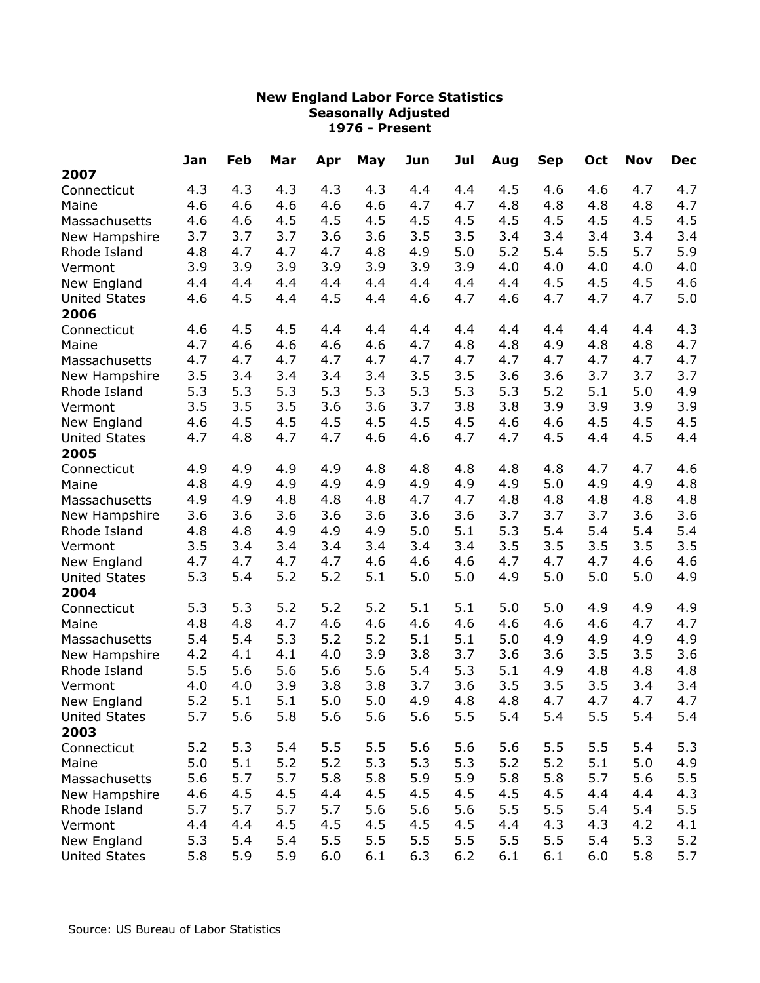|                      | Jan | Feb | Mar | Apr | May | Jun | Jul | Aug | <b>Sep</b> | Oct | <b>Nov</b> | <b>Dec</b> |
|----------------------|-----|-----|-----|-----|-----|-----|-----|-----|------------|-----|------------|------------|
| 2007                 |     |     |     |     |     |     |     |     |            |     |            |            |
| Connecticut          | 4.3 | 4.3 | 4.3 | 4.3 | 4.3 | 4.4 | 4.4 | 4.5 | 4.6        | 4.6 | 4.7        | 4.7        |
| Maine                | 4.6 | 4.6 | 4.6 | 4.6 | 4.6 | 4.7 | 4.7 | 4.8 | 4.8        | 4.8 | 4.8        | 4.7        |
| Massachusetts        | 4.6 | 4.6 | 4.5 | 4.5 | 4.5 | 4.5 | 4.5 | 4.5 | 4.5        | 4.5 | 4.5        | 4.5        |
| New Hampshire        | 3.7 | 3.7 | 3.7 | 3.6 | 3.6 | 3.5 | 3.5 | 3.4 | 3.4        | 3.4 | 3.4        | 3.4        |
| Rhode Island         | 4.8 | 4.7 | 4.7 | 4.7 | 4.8 | 4.9 | 5.0 | 5.2 | 5.4        | 5.5 | 5.7        | 5.9        |
| Vermont              | 3.9 | 3.9 | 3.9 | 3.9 | 3.9 | 3.9 | 3.9 | 4.0 | 4.0        | 4.0 | 4.0        | 4.0        |
| New England          | 4.4 | 4.4 | 4.4 | 4.4 | 4.4 | 4.4 | 4.4 | 4.4 | 4.5        | 4.5 | 4.5        | 4.6        |
| <b>United States</b> | 4.6 | 4.5 | 4.4 | 4.5 | 4.4 | 4.6 | 4.7 | 4.6 | 4.7        | 4.7 | 4.7        | 5.0        |
| 2006                 |     |     |     |     |     |     |     |     |            |     |            |            |
| Connecticut          | 4.6 | 4.5 | 4.5 | 4.4 | 4.4 | 4.4 | 4.4 | 4.4 | 4.4        | 4.4 | 4.4        | 4.3        |
| Maine                | 4.7 | 4.6 | 4.6 | 4.6 | 4.6 | 4.7 | 4.8 | 4.8 | 4.9        | 4.8 | 4.8        | 4.7        |
| Massachusetts        | 4.7 | 4.7 | 4.7 | 4.7 | 4.7 | 4.7 | 4.7 | 4.7 | 4.7        | 4.7 | 4.7        | 4.7        |
| New Hampshire        | 3.5 | 3.4 | 3.4 | 3.4 | 3.4 | 3.5 | 3.5 | 3.6 | 3.6        | 3.7 | 3.7        | 3.7        |
| Rhode Island         | 5.3 | 5.3 | 5.3 | 5.3 | 5.3 | 5.3 | 5.3 | 5.3 | 5.2        | 5.1 | 5.0        | 4.9        |
| Vermont              | 3.5 | 3.5 | 3.5 | 3.6 | 3.6 | 3.7 | 3.8 | 3.8 | 3.9        | 3.9 | 3.9        | 3.9        |
| New England          | 4.6 | 4.5 | 4.5 | 4.5 | 4.5 | 4.5 | 4.5 | 4.6 | 4.6        | 4.5 | 4.5        | 4.5        |
| <b>United States</b> | 4.7 | 4.8 | 4.7 | 4.7 | 4.6 | 4.6 | 4.7 | 4.7 | 4.5        | 4.4 | 4.5        | 4.4        |
| 2005                 |     |     |     |     |     |     |     |     |            |     |            |            |
| Connecticut          | 4.9 | 4.9 | 4.9 | 4.9 | 4.8 | 4.8 | 4.8 | 4.8 | 4.8        | 4.7 | 4.7        | 4.6        |
| Maine                | 4.8 | 4.9 | 4.9 | 4.9 | 4.9 | 4.9 | 4.9 | 4.9 | 5.0        | 4.9 | 4.9        | 4.8        |
| Massachusetts        | 4.9 | 4.9 | 4.8 | 4.8 | 4.8 | 4.7 | 4.7 | 4.8 | 4.8        | 4.8 | 4.8        | 4.8        |
| New Hampshire        | 3.6 | 3.6 | 3.6 | 3.6 | 3.6 | 3.6 | 3.6 | 3.7 | 3.7        | 3.7 | 3.6        | 3.6        |
| Rhode Island         | 4.8 | 4.8 | 4.9 | 4.9 | 4.9 | 5.0 | 5.1 | 5.3 | 5.4        | 5.4 | 5.4        | 5.4        |
| Vermont              | 3.5 | 3.4 | 3.4 | 3.4 | 3.4 | 3.4 | 3.4 | 3.5 | 3.5        | 3.5 | 3.5        | 3.5        |
| New England          | 4.7 | 4.7 | 4.7 | 4.7 | 4.6 | 4.6 | 4.6 | 4.7 | 4.7        | 4.7 | 4.6        | 4.6        |
| <b>United States</b> | 5.3 | 5.4 | 5.2 | 5.2 | 5.1 | 5.0 | 5.0 | 4.9 | 5.0        | 5.0 | 5.0        | 4.9        |
| 2004                 |     |     |     |     |     |     |     |     |            |     |            |            |
| Connecticut          | 5.3 | 5.3 | 5.2 | 5.2 | 5.2 | 5.1 | 5.1 | 5.0 | 5.0        | 4.9 | 4.9        | 4.9        |
| Maine                | 4.8 | 4.8 | 4.7 | 4.6 | 4.6 | 4.6 | 4.6 | 4.6 | 4.6        | 4.6 | 4.7        | 4.7        |
| Massachusetts        | 5.4 | 5.4 | 5.3 | 5.2 | 5.2 | 5.1 | 5.1 | 5.0 | 4.9        | 4.9 | 4.9        | 4.9        |
| New Hampshire        | 4.2 | 4.1 | 4.1 | 4.0 | 3.9 | 3.8 | 3.7 | 3.6 | 3.6        | 3.5 | 3.5        | 3.6        |
| Rhode Island         | 5.5 | 5.6 | 5.6 | 5.6 | 5.6 | 5.4 | 5.3 | 5.1 | 4.9        | 4.8 | 4.8        | 4.8        |
| Vermont              | 4.0 | 4.0 | 3.9 | 3.8 | 3.8 | 3.7 | 3.6 | 3.5 | 3.5        | 3.5 | 3.4        | 3.4        |
| New England          | 5.2 | 5.1 | 5.1 | 5.0 | 5.0 | 4.9 | 4.8 | 4.8 | 4.7        | 4.7 | 4.7        | 4.7        |
| <b>United States</b> | 5.7 | 5.6 | 5.8 | 5.6 | 5.6 | 5.6 | 5.5 | 5.4 | 5.4        | 5.5 | 5.4        | 5.4        |
| 2003                 |     |     |     |     |     |     |     |     |            |     |            |            |
| Connecticut          | 5.2 | 5.3 | 5.4 | 5.5 | 5.5 | 5.6 | 5.6 | 5.6 | 5.5        | 5.5 | 5.4        | 5.3        |
| Maine                | 5.0 | 5.1 | 5.2 | 5.2 | 5.3 | 5.3 | 5.3 | 5.2 | 5.2        | 5.1 | 5.0        | 4.9        |
| Massachusetts        | 5.6 | 5.7 | 5.7 | 5.8 | 5.8 | 5.9 | 5.9 | 5.8 | 5.8        | 5.7 | 5.6        | 5.5        |
| New Hampshire        | 4.6 | 4.5 | 4.5 | 4.4 | 4.5 | 4.5 | 4.5 | 4.5 | 4.5        | 4.4 | 4.4        | 4.3        |
| Rhode Island         | 5.7 | 5.7 | 5.7 | 5.7 | 5.6 | 5.6 | 5.6 | 5.5 | 5.5        | 5.4 | 5.4        | 5.5        |
| Vermont              | 4.4 | 4.4 | 4.5 | 4.5 | 4.5 | 4.5 | 4.5 | 4.4 | 4.3        | 4.3 | 4.2        | 4.1        |
| New England          | 5.3 | 5.4 | 5.4 | 5.5 | 5.5 | 5.5 | 5.5 | 5.5 | 5.5        | 5.4 | 5.3        | 5.2        |
| <b>United States</b> | 5.8 | 5.9 | 5.9 | 6.0 | 6.1 | 6.3 | 6.2 | 6.1 | 6.1        | 6.0 | 5.8        | 5.7        |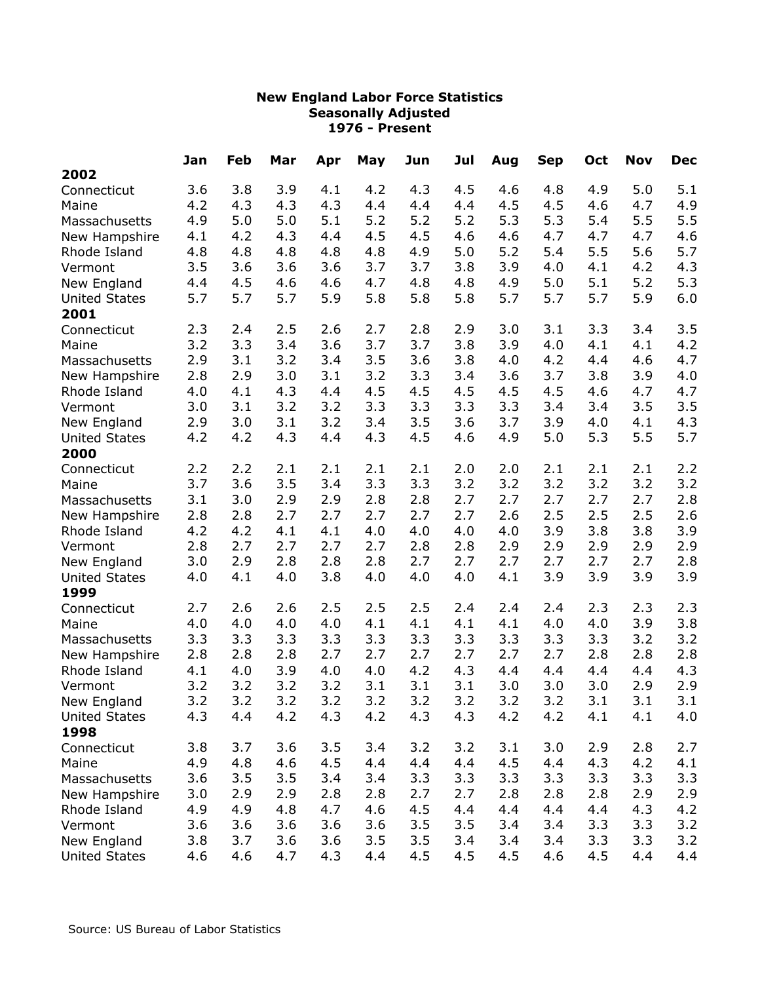|                      | Jan | Feb | Mar | Apr | May | Jun | Jul | Aug | <b>Sep</b> | Oct | <b>Nov</b> | <b>Dec</b> |
|----------------------|-----|-----|-----|-----|-----|-----|-----|-----|------------|-----|------------|------------|
| 2002                 |     |     |     |     |     |     |     |     |            |     |            |            |
| Connecticut          | 3.6 | 3.8 | 3.9 | 4.1 | 4.2 | 4.3 | 4.5 | 4.6 | 4.8        | 4.9 | 5.0        | 5.1        |
| Maine                | 4.2 | 4.3 | 4.3 | 4.3 | 4.4 | 4.4 | 4.4 | 4.5 | 4.5        | 4.6 | 4.7        | 4.9        |
| Massachusetts        | 4.9 | 5.0 | 5.0 | 5.1 | 5.2 | 5.2 | 5.2 | 5.3 | 5.3        | 5.4 | 5.5        | 5.5        |
| New Hampshire        | 4.1 | 4.2 | 4.3 | 4.4 | 4.5 | 4.5 | 4.6 | 4.6 | 4.7        | 4.7 | 4.7        | 4.6        |
| Rhode Island         | 4.8 | 4.8 | 4.8 | 4.8 | 4.8 | 4.9 | 5.0 | 5.2 | 5.4        | 5.5 | 5.6        | 5.7        |
| Vermont              | 3.5 | 3.6 | 3.6 | 3.6 | 3.7 | 3.7 | 3.8 | 3.9 | 4.0        | 4.1 | 4.2        | 4.3        |
| New England          | 4.4 | 4.5 | 4.6 | 4.6 | 4.7 | 4.8 | 4.8 | 4.9 | 5.0        | 5.1 | 5.2        | 5.3        |
| <b>United States</b> | 5.7 | 5.7 | 5.7 | 5.9 | 5.8 | 5.8 | 5.8 | 5.7 | 5.7        | 5.7 | 5.9        | 6.0        |
| 2001                 |     |     |     |     |     |     |     |     |            |     |            |            |
| Connecticut          | 2.3 | 2.4 | 2.5 | 2.6 | 2.7 | 2.8 | 2.9 | 3.0 | 3.1        | 3.3 | 3.4        | 3.5        |
| Maine                | 3.2 | 3.3 | 3.4 | 3.6 | 3.7 | 3.7 | 3.8 | 3.9 | 4.0        | 4.1 | 4.1        | 4.2        |
| Massachusetts        | 2.9 | 3.1 | 3.2 | 3.4 | 3.5 | 3.6 | 3.8 | 4.0 | 4.2        | 4.4 | 4.6        | 4.7        |
| New Hampshire        | 2.8 | 2.9 | 3.0 | 3.1 | 3.2 | 3.3 | 3.4 | 3.6 | 3.7        | 3.8 | 3.9        | 4.0        |
| Rhode Island         | 4.0 | 4.1 | 4.3 | 4.4 | 4.5 | 4.5 | 4.5 | 4.5 | 4.5        | 4.6 | 4.7        | 4.7        |
| Vermont              | 3.0 | 3.1 | 3.2 | 3.2 | 3.3 | 3.3 | 3.3 | 3.3 | 3.4        | 3.4 | 3.5        | 3.5        |
| New England          | 2.9 | 3.0 | 3.1 | 3.2 | 3.4 | 3.5 | 3.6 | 3.7 | 3.9        | 4.0 | 4.1        | 4.3        |
| <b>United States</b> | 4.2 | 4.2 | 4.3 | 4.4 | 4.3 | 4.5 | 4.6 | 4.9 | 5.0        | 5.3 | 5.5        | 5.7        |
| 2000                 |     |     |     |     |     |     |     |     |            |     |            |            |
| Connecticut          | 2.2 | 2.2 | 2.1 | 2.1 | 2.1 | 2.1 | 2.0 | 2.0 | 2.1        | 2.1 | 2.1        | 2.2        |
| Maine                | 3.7 | 3.6 | 3.5 | 3.4 | 3.3 | 3.3 | 3.2 | 3.2 | 3.2        | 3.2 | 3.2        | 3.2        |
| Massachusetts        | 3.1 | 3.0 | 2.9 | 2.9 | 2.8 | 2.8 | 2.7 | 2.7 | 2.7        | 2.7 | 2.7        | 2.8        |
| New Hampshire        | 2.8 | 2.8 | 2.7 | 2.7 | 2.7 | 2.7 | 2.7 | 2.6 | 2.5        | 2.5 | 2.5        | 2.6        |
| Rhode Island         | 4.2 | 4.2 | 4.1 | 4.1 | 4.0 | 4.0 | 4.0 | 4.0 | 3.9        | 3.8 | 3.8        | 3.9        |
| Vermont              | 2.8 | 2.7 | 2.7 | 2.7 | 2.7 | 2.8 | 2.8 | 2.9 | 2.9        | 2.9 | 2.9        | 2.9        |
| New England          | 3.0 | 2.9 | 2.8 | 2.8 | 2.8 | 2.7 | 2.7 | 2.7 | 2.7        | 2.7 | 2.7        | 2.8        |
| <b>United States</b> | 4.0 | 4.1 | 4.0 | 3.8 | 4.0 | 4.0 | 4.0 | 4.1 | 3.9        | 3.9 | 3.9        | 3.9        |
| 1999                 |     |     |     |     |     |     |     |     |            |     |            |            |
| Connecticut          | 2.7 | 2.6 | 2.6 | 2.5 | 2.5 | 2.5 | 2.4 | 2.4 | 2.4        | 2.3 | 2.3        | 2.3        |
| Maine                | 4.0 | 4.0 | 4.0 | 4.0 | 4.1 | 4.1 | 4.1 | 4.1 | 4.0        | 4.0 | 3.9        | 3.8        |
| Massachusetts        | 3.3 | 3.3 | 3.3 | 3.3 | 3.3 | 3.3 | 3.3 | 3.3 | 3.3        | 3.3 | 3.2        | 3.2        |
| New Hampshire        | 2.8 | 2.8 | 2.8 | 2.7 | 2.7 | 2.7 | 2.7 | 2.7 | 2.7        | 2.8 | 2.8        | 2.8        |
| Rhode Island         | 4.1 | 4.0 | 3.9 | 4.0 | 4.0 | 4.2 | 4.3 | 4.4 | 4.4        | 4.4 | 4.4        | 4.3        |
| Vermont              | 3.2 | 3.2 | 3.2 | 3.2 | 3.1 | 3.1 | 3.1 | 3.0 | 3.0        | 3.0 | 2.9        | 2.9        |
| New England          | 3.2 | 3.2 | 3.2 | 3.2 | 3.2 | 3.2 | 3.2 | 3.2 | 3.2        | 3.1 | 3.1        | 3.1        |
| <b>United States</b> | 4.3 | 4.4 | 4.2 | 4.3 | 4.2 | 4.3 | 4.3 | 4.2 | 4.2        | 4.1 | 4.1        | 4.0        |
| 1998                 |     |     |     |     |     |     |     |     |            |     |            |            |
| Connecticut          | 3.8 | 3.7 | 3.6 | 3.5 | 3.4 | 3.2 | 3.2 | 3.1 | 3.0        | 2.9 | 2.8        | 2.7        |
| Maine                | 4.9 | 4.8 | 4.6 | 4.5 | 4.4 | 4.4 | 4.4 | 4.5 | 4.4        | 4.3 | 4.2        | 4.1        |
| Massachusetts        | 3.6 | 3.5 | 3.5 | 3.4 | 3.4 | 3.3 | 3.3 | 3.3 | 3.3        | 3.3 | 3.3        | 3.3        |
| New Hampshire        | 3.0 | 2.9 | 2.9 | 2.8 | 2.8 | 2.7 | 2.7 | 2.8 | 2.8        | 2.8 | 2.9        | 2.9        |
| Rhode Island         | 4.9 | 4.9 | 4.8 | 4.7 | 4.6 | 4.5 | 4.4 | 4.4 | 4.4        | 4.4 | 4.3        | 4.2        |
| Vermont              | 3.6 | 3.6 | 3.6 | 3.6 | 3.6 | 3.5 | 3.5 | 3.4 | 3.4        | 3.3 | 3.3        | 3.2        |
| New England          | 3.8 | 3.7 | 3.6 | 3.6 | 3.5 | 3.5 | 3.4 | 3.4 | 3.4        | 3.3 | 3.3        | 3.2        |
| <b>United States</b> | 4.6 | 4.6 | 4.7 | 4.3 | 4.4 | 4.5 | 4.5 | 4.5 | 4.6        | 4.5 | 4.4        | 4.4        |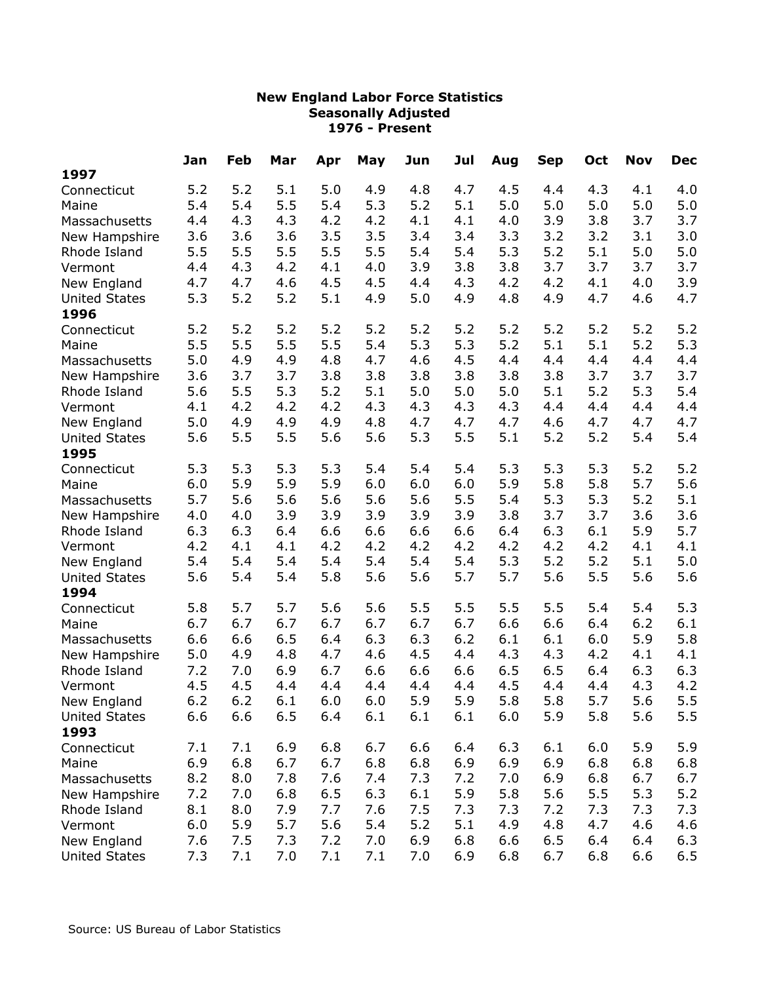|                      | Jan | Feb | Mar | Apr | May | Jun | Jul | Aug | <b>Sep</b> | Oct | <b>Nov</b> | <b>Dec</b> |
|----------------------|-----|-----|-----|-----|-----|-----|-----|-----|------------|-----|------------|------------|
| 1997                 |     |     |     |     |     |     |     |     |            |     |            |            |
| Connecticut          | 5.2 | 5.2 | 5.1 | 5.0 | 4.9 | 4.8 | 4.7 | 4.5 | 4.4        | 4.3 | 4.1        | 4.0        |
| Maine                | 5.4 | 5.4 | 5.5 | 5.4 | 5.3 | 5.2 | 5.1 | 5.0 | 5.0        | 5.0 | 5.0        | 5.0        |
| Massachusetts        | 4.4 | 4.3 | 4.3 | 4.2 | 4.2 | 4.1 | 4.1 | 4.0 | 3.9        | 3.8 | 3.7        | 3.7        |
| New Hampshire        | 3.6 | 3.6 | 3.6 | 3.5 | 3.5 | 3.4 | 3.4 | 3.3 | 3.2        | 3.2 | 3.1        | 3.0        |
| Rhode Island         | 5.5 | 5.5 | 5.5 | 5.5 | 5.5 | 5.4 | 5.4 | 5.3 | 5.2        | 5.1 | 5.0        | 5.0        |
| Vermont              | 4.4 | 4.3 | 4.2 | 4.1 | 4.0 | 3.9 | 3.8 | 3.8 | 3.7        | 3.7 | 3.7        | 3.7        |
| New England          | 4.7 | 4.7 | 4.6 | 4.5 | 4.5 | 4.4 | 4.3 | 4.2 | 4.2        | 4.1 | 4.0        | 3.9        |
| <b>United States</b> | 5.3 | 5.2 | 5.2 | 5.1 | 4.9 | 5.0 | 4.9 | 4.8 | 4.9        | 4.7 | 4.6        | 4.7        |
| 1996                 |     |     |     |     |     |     |     |     |            |     |            |            |
| Connecticut          | 5.2 | 5.2 | 5.2 | 5.2 | 5.2 | 5.2 | 5.2 | 5.2 | 5.2        | 5.2 | 5.2        | 5.2        |
| Maine                | 5.5 | 5.5 | 5.5 | 5.5 | 5.4 | 5.3 | 5.3 | 5.2 | 5.1        | 5.1 | 5.2        | 5.3        |
| Massachusetts        | 5.0 | 4.9 | 4.9 | 4.8 | 4.7 | 4.6 | 4.5 | 4.4 | 4.4        | 4.4 | 4.4        | 4.4        |
| New Hampshire        | 3.6 | 3.7 | 3.7 | 3.8 | 3.8 | 3.8 | 3.8 | 3.8 | 3.8        | 3.7 | 3.7        | 3.7        |
| Rhode Island         | 5.6 | 5.5 | 5.3 | 5.2 | 5.1 | 5.0 | 5.0 | 5.0 | 5.1        | 5.2 | 5.3        | 5.4        |
| Vermont              | 4.1 | 4.2 | 4.2 | 4.2 | 4.3 | 4.3 | 4.3 | 4.3 | 4.4        | 4.4 | 4.4        | 4.4        |
| New England          | 5.0 | 4.9 | 4.9 | 4.9 | 4.8 | 4.7 | 4.7 | 4.7 | 4.6        | 4.7 | 4.7        | 4.7        |
| <b>United States</b> | 5.6 | 5.5 | 5.5 | 5.6 | 5.6 | 5.3 | 5.5 | 5.1 | 5.2        | 5.2 | 5.4        | 5.4        |
| 1995                 |     |     |     |     |     |     |     |     |            |     |            |            |
| Connecticut          | 5.3 | 5.3 | 5.3 | 5.3 | 5.4 | 5.4 | 5.4 | 5.3 | 5.3        | 5.3 | 5.2        | 5.2        |
| Maine                | 6.0 | 5.9 | 5.9 | 5.9 | 6.0 | 6.0 | 6.0 | 5.9 | 5.8        | 5.8 | 5.7        | 5.6        |
| Massachusetts        | 5.7 | 5.6 | 5.6 | 5.6 | 5.6 | 5.6 | 5.5 | 5.4 | 5.3        | 5.3 | 5.2        | 5.1        |
| New Hampshire        | 4.0 | 4.0 | 3.9 | 3.9 | 3.9 | 3.9 | 3.9 | 3.8 | 3.7        | 3.7 | 3.6        | 3.6        |
| Rhode Island         | 6.3 | 6.3 | 6.4 | 6.6 | 6.6 | 6.6 | 6.6 | 6.4 | 6.3        | 6.1 | 5.9        | 5.7        |
| Vermont              | 4.2 | 4.1 | 4.1 | 4.2 | 4.2 | 4.2 | 4.2 | 4.2 | 4.2        | 4.2 | 4.1        | 4.1        |
| New England          | 5.4 | 5.4 | 5.4 | 5.4 | 5.4 | 5.4 | 5.4 | 5.3 | 5.2        | 5.2 | 5.1        | 5.0        |
| <b>United States</b> | 5.6 | 5.4 | 5.4 | 5.8 | 5.6 | 5.6 | 5.7 | 5.7 | 5.6        | 5.5 | 5.6        | 5.6        |
| 1994                 |     |     |     |     |     |     |     |     |            |     |            |            |
| Connecticut          | 5.8 | 5.7 | 5.7 | 5.6 | 5.6 | 5.5 | 5.5 | 5.5 | 5.5        | 5.4 | 5.4        | 5.3        |
| Maine                | 6.7 | 6.7 | 6.7 | 6.7 | 6.7 | 6.7 | 6.7 | 6.6 | 6.6        | 6.4 | 6.2        | 6.1        |
| Massachusetts        | 6.6 | 6.6 | 6.5 | 6.4 | 6.3 | 6.3 | 6.2 | 6.1 | 6.1        | 6.0 | 5.9        | 5.8        |
| New Hampshire        | 5.0 | 4.9 | 4.8 | 4.7 | 4.6 | 4.5 | 4.4 | 4.3 | 4.3        | 4.2 | 4.1        | 4.1        |
| Rhode Island         | 7.2 | 7.0 | 6.9 | 6.7 | 6.6 | 6.6 | 6.6 | 6.5 | 6.5        | 6.4 | 6.3        | 6.3        |
| Vermont              | 4.5 | 4.5 | 4.4 | 4.4 | 4.4 | 4.4 | 4.4 | 4.5 | 4.4        | 4.4 | 4.3        | 4.2        |
| New England          | 6.2 | 6.2 | 6.1 | 6.0 | 6.0 | 5.9 | 5.9 | 5.8 | 5.8        | 5.7 | 5.6        | 5.5        |
| <b>United States</b> | 6.6 | 6.6 | 6.5 | 6.4 | 6.1 | 6.1 | 6.1 | 6.0 | 5.9        | 5.8 | 5.6        | 5.5        |
| 1993                 |     |     |     |     |     |     |     |     |            |     |            |            |
| Connecticut          | 7.1 | 7.1 | 6.9 | 6.8 | 6.7 | 6.6 | 6.4 | 6.3 | 6.1        | 6.0 | 5.9        | 5.9        |
| Maine                | 6.9 | 6.8 | 6.7 | 6.7 | 6.8 | 6.8 | 6.9 | 6.9 | 6.9        | 6.8 | 6.8        | 6.8        |
| Massachusetts        | 8.2 | 8.0 | 7.8 | 7.6 | 7.4 | 7.3 | 7.2 | 7.0 | 6.9        | 6.8 | 6.7        | 6.7        |
| New Hampshire        | 7.2 | 7.0 | 6.8 | 6.5 | 6.3 | 6.1 | 5.9 | 5.8 | 5.6        | 5.5 | 5.3        | 5.2        |
| Rhode Island         | 8.1 | 8.0 | 7.9 | 7.7 | 7.6 | 7.5 | 7.3 | 7.3 | 7.2        | 7.3 | 7.3        | 7.3        |
| Vermont              | 6.0 | 5.9 | 5.7 | 5.6 | 5.4 | 5.2 | 5.1 | 4.9 | 4.8        | 4.7 | 4.6        | 4.6        |
| New England          | 7.6 | 7.5 | 7.3 | 7.2 | 7.0 | 6.9 | 6.8 | 6.6 | 6.5        | 6.4 | 6.4        | 6.3        |
| <b>United States</b> | 7.3 | 7.1 | 7.0 | 7.1 | 7.1 | 7.0 | 6.9 | 6.8 | 6.7        | 6.8 | 6.6        | 6.5        |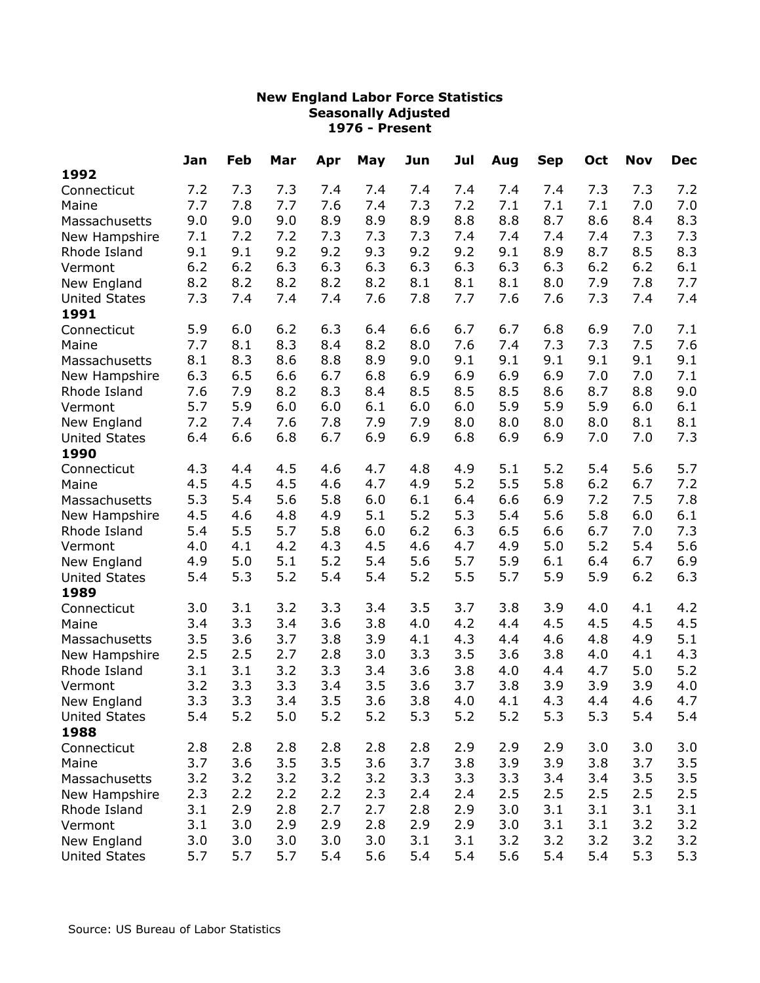| May<br>Jun<br><b>Dec</b><br>Apr<br>Aug<br><b>Sep</b><br>1992<br>7.2<br>7.3<br>7.2<br>7.3<br>7.4<br>7.4<br>7.4<br>7.4<br>7.4<br>7.4<br>7.3<br>7.3<br>Connecticut<br>7.7<br>7.1<br>7.0<br>7.8<br>7.7<br>7.6<br>7.4<br>7.3<br>7.2<br>7.1<br>7.1<br>7.0<br>Maine<br>8.3<br>9.0<br>9.0<br>9.0<br>8.9<br>8.9<br>8.9<br>8.8<br>8.8<br>8.7<br>8.6<br>8.4<br>Massachusetts<br>7.3<br>7.2<br>7.3<br>7.4<br>7.4<br>New Hampshire<br>7.1<br>7.2<br>7.3<br>7.3<br>7.4<br>7.4<br>7.3<br>8.3<br>9.1<br>9.2<br>9.3<br>9.2<br>9.2<br>8.9<br>9.1<br>9.2<br>9.1<br>8.7<br>8.5<br>Rhode Island<br>6.2<br>6.2<br>6.3<br>6.3<br>6.3<br>6.3<br>6.3<br>6.3<br>6.3<br>6.2<br>6.2<br>6.1<br>Vermont<br>7.7<br>8.2<br>8.2<br>8.2<br>8.2<br>8.1<br>7.9<br>7.8<br>8.2<br>8.1<br>8.1<br>8.0<br>New England<br>7.3<br>7.6<br>7.7<br>7.3<br>7.4<br>7.4<br>7.4<br>7.4<br>7.8<br>7.6<br>7.6<br>7.4<br><b>United States</b><br>1991<br>5.9<br>6.2<br>6.3<br>6.6<br>6.7<br>6.8<br>6.9<br>7.1<br>6.0<br>6.4<br>6.7<br>7.0<br>Connecticut<br>7.3<br>7.7<br>8.2<br>7.6<br>7.3<br>7.5<br>7.6<br>8.1<br>8.3<br>8.4<br>8.0<br>7.4<br>Maine<br>8.3<br>8.9<br>9.1<br>9.1<br>9.1<br>8.1<br>8.6<br>8.8<br>9.0<br>9.1<br>9.1<br>9.1<br>Massachusetts<br>6.3<br>6.5<br>6.8<br>6.9<br>7.1<br>6.6<br>6.7<br>6.9<br>6.9<br>6.9<br>7.0<br>7.0<br>New Hampshire<br>7.6<br>9.0<br>7.9<br>8.2<br>8.3<br>8.4<br>8.5<br>8.5<br>8.5<br>8.6<br>8.7<br>8.8<br>Rhode Island<br>5.9<br>6.0<br>6.0<br>5.9<br>5.9<br>5.9<br>6.1<br>5.7<br>6.0<br>6.1<br>6.0<br>6.0<br>Vermont<br>8.1<br>7.2<br>7.6<br>7.8<br>7.9<br>7.9<br>8.0<br>8.0<br>8.0<br>8.0<br>8.1<br>New England<br>7.4<br>6.8<br>7.3<br>6.4<br>6.6<br>6.8<br>6.7<br>6.9<br>6.9<br>6.9<br>6.9<br>7.0<br>7.0<br><b>United States</b><br>1990<br>5.7<br>4.3<br>4.4<br>4.7<br>4.8<br>4.9<br>5.1<br>5.2<br>5.4<br>5.6<br>4.5<br>4.6<br>Connecticut<br>7.2<br>4.5<br>4.5<br>4.5<br>4.7<br>4.9<br>5.2<br>5.5<br>5.8<br>6.2<br>6.7<br>4.6<br>Maine |
|--------------------------------------------------------------------------------------------------------------------------------------------------------------------------------------------------------------------------------------------------------------------------------------------------------------------------------------------------------------------------------------------------------------------------------------------------------------------------------------------------------------------------------------------------------------------------------------------------------------------------------------------------------------------------------------------------------------------------------------------------------------------------------------------------------------------------------------------------------------------------------------------------------------------------------------------------------------------------------------------------------------------------------------------------------------------------------------------------------------------------------------------------------------------------------------------------------------------------------------------------------------------------------------------------------------------------------------------------------------------------------------------------------------------------------------------------------------------------------------------------------------------------------------------------------------------------------------------------------------------------------------------------------------------------------------------------------------------------------------------------------------------------------------------------------------------------------------------------------------------------------------------------------------------------------------|
|                                                                                                                                                                                                                                                                                                                                                                                                                                                                                                                                                                                                                                                                                                                                                                                                                                                                                                                                                                                                                                                                                                                                                                                                                                                                                                                                                                                                                                                                                                                                                                                                                                                                                                                                                                                                                                                                                                                                      |
|                                                                                                                                                                                                                                                                                                                                                                                                                                                                                                                                                                                                                                                                                                                                                                                                                                                                                                                                                                                                                                                                                                                                                                                                                                                                                                                                                                                                                                                                                                                                                                                                                                                                                                                                                                                                                                                                                                                                      |
|                                                                                                                                                                                                                                                                                                                                                                                                                                                                                                                                                                                                                                                                                                                                                                                                                                                                                                                                                                                                                                                                                                                                                                                                                                                                                                                                                                                                                                                                                                                                                                                                                                                                                                                                                                                                                                                                                                                                      |
|                                                                                                                                                                                                                                                                                                                                                                                                                                                                                                                                                                                                                                                                                                                                                                                                                                                                                                                                                                                                                                                                                                                                                                                                                                                                                                                                                                                                                                                                                                                                                                                                                                                                                                                                                                                                                                                                                                                                      |
|                                                                                                                                                                                                                                                                                                                                                                                                                                                                                                                                                                                                                                                                                                                                                                                                                                                                                                                                                                                                                                                                                                                                                                                                                                                                                                                                                                                                                                                                                                                                                                                                                                                                                                                                                                                                                                                                                                                                      |
|                                                                                                                                                                                                                                                                                                                                                                                                                                                                                                                                                                                                                                                                                                                                                                                                                                                                                                                                                                                                                                                                                                                                                                                                                                                                                                                                                                                                                                                                                                                                                                                                                                                                                                                                                                                                                                                                                                                                      |
|                                                                                                                                                                                                                                                                                                                                                                                                                                                                                                                                                                                                                                                                                                                                                                                                                                                                                                                                                                                                                                                                                                                                                                                                                                                                                                                                                                                                                                                                                                                                                                                                                                                                                                                                                                                                                                                                                                                                      |
|                                                                                                                                                                                                                                                                                                                                                                                                                                                                                                                                                                                                                                                                                                                                                                                                                                                                                                                                                                                                                                                                                                                                                                                                                                                                                                                                                                                                                                                                                                                                                                                                                                                                                                                                                                                                                                                                                                                                      |
|                                                                                                                                                                                                                                                                                                                                                                                                                                                                                                                                                                                                                                                                                                                                                                                                                                                                                                                                                                                                                                                                                                                                                                                                                                                                                                                                                                                                                                                                                                                                                                                                                                                                                                                                                                                                                                                                                                                                      |
|                                                                                                                                                                                                                                                                                                                                                                                                                                                                                                                                                                                                                                                                                                                                                                                                                                                                                                                                                                                                                                                                                                                                                                                                                                                                                                                                                                                                                                                                                                                                                                                                                                                                                                                                                                                                                                                                                                                                      |
|                                                                                                                                                                                                                                                                                                                                                                                                                                                                                                                                                                                                                                                                                                                                                                                                                                                                                                                                                                                                                                                                                                                                                                                                                                                                                                                                                                                                                                                                                                                                                                                                                                                                                                                                                                                                                                                                                                                                      |
|                                                                                                                                                                                                                                                                                                                                                                                                                                                                                                                                                                                                                                                                                                                                                                                                                                                                                                                                                                                                                                                                                                                                                                                                                                                                                                                                                                                                                                                                                                                                                                                                                                                                                                                                                                                                                                                                                                                                      |
|                                                                                                                                                                                                                                                                                                                                                                                                                                                                                                                                                                                                                                                                                                                                                                                                                                                                                                                                                                                                                                                                                                                                                                                                                                                                                                                                                                                                                                                                                                                                                                                                                                                                                                                                                                                                                                                                                                                                      |
|                                                                                                                                                                                                                                                                                                                                                                                                                                                                                                                                                                                                                                                                                                                                                                                                                                                                                                                                                                                                                                                                                                                                                                                                                                                                                                                                                                                                                                                                                                                                                                                                                                                                                                                                                                                                                                                                                                                                      |
|                                                                                                                                                                                                                                                                                                                                                                                                                                                                                                                                                                                                                                                                                                                                                                                                                                                                                                                                                                                                                                                                                                                                                                                                                                                                                                                                                                                                                                                                                                                                                                                                                                                                                                                                                                                                                                                                                                                                      |
|                                                                                                                                                                                                                                                                                                                                                                                                                                                                                                                                                                                                                                                                                                                                                                                                                                                                                                                                                                                                                                                                                                                                                                                                                                                                                                                                                                                                                                                                                                                                                                                                                                                                                                                                                                                                                                                                                                                                      |
|                                                                                                                                                                                                                                                                                                                                                                                                                                                                                                                                                                                                                                                                                                                                                                                                                                                                                                                                                                                                                                                                                                                                                                                                                                                                                                                                                                                                                                                                                                                                                                                                                                                                                                                                                                                                                                                                                                                                      |
|                                                                                                                                                                                                                                                                                                                                                                                                                                                                                                                                                                                                                                                                                                                                                                                                                                                                                                                                                                                                                                                                                                                                                                                                                                                                                                                                                                                                                                                                                                                                                                                                                                                                                                                                                                                                                                                                                                                                      |
|                                                                                                                                                                                                                                                                                                                                                                                                                                                                                                                                                                                                                                                                                                                                                                                                                                                                                                                                                                                                                                                                                                                                                                                                                                                                                                                                                                                                                                                                                                                                                                                                                                                                                                                                                                                                                                                                                                                                      |
|                                                                                                                                                                                                                                                                                                                                                                                                                                                                                                                                                                                                                                                                                                                                                                                                                                                                                                                                                                                                                                                                                                                                                                                                                                                                                                                                                                                                                                                                                                                                                                                                                                                                                                                                                                                                                                                                                                                                      |
|                                                                                                                                                                                                                                                                                                                                                                                                                                                                                                                                                                                                                                                                                                                                                                                                                                                                                                                                                                                                                                                                                                                                                                                                                                                                                                                                                                                                                                                                                                                                                                                                                                                                                                                                                                                                                                                                                                                                      |
| 5.3<br>6.4<br>7.2<br>7.8<br>5.4<br>5.6<br>5.8<br>6.0<br>6.1<br>6.6<br>6.9<br>7.5<br>Massachusetts                                                                                                                                                                                                                                                                                                                                                                                                                                                                                                                                                                                                                                                                                                                                                                                                                                                                                                                                                                                                                                                                                                                                                                                                                                                                                                                                                                                                                                                                                                                                                                                                                                                                                                                                                                                                                                    |
| 5.1<br>5.2<br>5.3<br>5.8<br>4.5<br>5.4<br>5.6<br>6.0<br>6.1<br>4.6<br>4.8<br>4.9<br>New Hampshire                                                                                                                                                                                                                                                                                                                                                                                                                                                                                                                                                                                                                                                                                                                                                                                                                                                                                                                                                                                                                                                                                                                                                                                                                                                                                                                                                                                                                                                                                                                                                                                                                                                                                                                                                                                                                                    |
| 6.2<br>7.3<br>5.5<br>6.0<br>6.3<br>6.5<br>6.7<br>5.4<br>5.7<br>5.8<br>6.6<br>7.0<br>Rhode Island                                                                                                                                                                                                                                                                                                                                                                                                                                                                                                                                                                                                                                                                                                                                                                                                                                                                                                                                                                                                                                                                                                                                                                                                                                                                                                                                                                                                                                                                                                                                                                                                                                                                                                                                                                                                                                     |
| 4.7<br>5.0<br>5.2<br>5.6<br>4.0<br>4.1<br>4.2<br>4.3<br>4.5<br>4.6<br>4.9<br>5.4<br>Vermont                                                                                                                                                                                                                                                                                                                                                                                                                                                                                                                                                                                                                                                                                                                                                                                                                                                                                                                                                                                                                                                                                                                                                                                                                                                                                                                                                                                                                                                                                                                                                                                                                                                                                                                                                                                                                                          |
| 6.9<br>5.1<br>5.2<br>5.7<br>5.0<br>5.4<br>5.6<br>5.9<br>6.1<br>6.4<br>6.7<br>4.9<br>New England                                                                                                                                                                                                                                                                                                                                                                                                                                                                                                                                                                                                                                                                                                                                                                                                                                                                                                                                                                                                                                                                                                                                                                                                                                                                                                                                                                                                                                                                                                                                                                                                                                                                                                                                                                                                                                      |
| 6.3<br>5.3<br>5.2<br>5.4<br>5.4<br>5.2<br>5.5<br>5.9<br>5.9<br>6.2<br>5.4<br>5.7<br><b>United States</b>                                                                                                                                                                                                                                                                                                                                                                                                                                                                                                                                                                                                                                                                                                                                                                                                                                                                                                                                                                                                                                                                                                                                                                                                                                                                                                                                                                                                                                                                                                                                                                                                                                                                                                                                                                                                                             |
| 1989                                                                                                                                                                                                                                                                                                                                                                                                                                                                                                                                                                                                                                                                                                                                                                                                                                                                                                                                                                                                                                                                                                                                                                                                                                                                                                                                                                                                                                                                                                                                                                                                                                                                                                                                                                                                                                                                                                                                 |
| 3.4<br>4.2<br>3.0<br>3.1<br>3.2<br>3.3<br>3.5<br>3.7<br>3.8<br>3.9<br>4.0<br>4.1<br>Connecticut                                                                                                                                                                                                                                                                                                                                                                                                                                                                                                                                                                                                                                                                                                                                                                                                                                                                                                                                                                                                                                                                                                                                                                                                                                                                                                                                                                                                                                                                                                                                                                                                                                                                                                                                                                                                                                      |
| 4.5<br>3.4<br>3.3<br>3.4<br>3.6<br>3.8<br>4.0<br>4.2<br>4.5<br>4.5<br>4.5<br>Maine<br>4.4                                                                                                                                                                                                                                                                                                                                                                                                                                                                                                                                                                                                                                                                                                                                                                                                                                                                                                                                                                                                                                                                                                                                                                                                                                                                                                                                                                                                                                                                                                                                                                                                                                                                                                                                                                                                                                            |
| 5.1<br>3.5<br>3.6<br>3.9<br>4.3<br>4.6<br>4.8<br>3.7<br>3.8<br>4.1<br>4.9<br>Massachusetts<br>4.4                                                                                                                                                                                                                                                                                                                                                                                                                                                                                                                                                                                                                                                                                                                                                                                                                                                                                                                                                                                                                                                                                                                                                                                                                                                                                                                                                                                                                                                                                                                                                                                                                                                                                                                                                                                                                                    |
| 4.3<br>2.5<br>2.5<br>3.0<br>3.3<br>3.5<br>3.8<br>2.7<br>2.8<br>3.6<br>4.0<br>4.1<br>New Hampshire                                                                                                                                                                                                                                                                                                                                                                                                                                                                                                                                                                                                                                                                                                                                                                                                                                                                                                                                                                                                                                                                                                                                                                                                                                                                                                                                                                                                                                                                                                                                                                                                                                                                                                                                                                                                                                    |
| 5.2<br>3.3<br>3.1<br>3.1<br>3.2<br>3.4<br>3.6<br>3.8<br>4.4<br>4.7<br>5.0<br>Rhode Island<br>4.0                                                                                                                                                                                                                                                                                                                                                                                                                                                                                                                                                                                                                                                                                                                                                                                                                                                                                                                                                                                                                                                                                                                                                                                                                                                                                                                                                                                                                                                                                                                                                                                                                                                                                                                                                                                                                                     |
| 3.2<br>3.5<br>4.0<br>3.3<br>3.3<br>3.4<br>3.6<br>3.7<br>3.8<br>3.9<br>3.9<br>3.9<br>Vermont                                                                                                                                                                                                                                                                                                                                                                                                                                                                                                                                                                                                                                                                                                                                                                                                                                                                                                                                                                                                                                                                                                                                                                                                                                                                                                                                                                                                                                                                                                                                                                                                                                                                                                                                                                                                                                          |
| 3.3<br>3.3<br>3.4<br>3.5<br>3.6<br>3.8<br>4.7<br>4.0<br>4.3<br>4.6<br>4.1<br>4.4<br>New England                                                                                                                                                                                                                                                                                                                                                                                                                                                                                                                                                                                                                                                                                                                                                                                                                                                                                                                                                                                                                                                                                                                                                                                                                                                                                                                                                                                                                                                                                                                                                                                                                                                                                                                                                                                                                                      |
| $5.2$<br>$5.2$<br>5.3<br>5.3<br>5.3<br>5.2<br>5.4<br>5.2<br>5.0<br>5.2<br>5.4<br>5.4<br><b>United States</b>                                                                                                                                                                                                                                                                                                                                                                                                                                                                                                                                                                                                                                                                                                                                                                                                                                                                                                                                                                                                                                                                                                                                                                                                                                                                                                                                                                                                                                                                                                                                                                                                                                                                                                                                                                                                                         |
| 1988                                                                                                                                                                                                                                                                                                                                                                                                                                                                                                                                                                                                                                                                                                                                                                                                                                                                                                                                                                                                                                                                                                                                                                                                                                                                                                                                                                                                                                                                                                                                                                                                                                                                                                                                                                                                                                                                                                                                 |
| 2.8<br>2.9<br>3.0<br>2.8<br>2.8<br>2.8<br>2.8<br>2.8<br>2.9<br>2.9<br>3.0<br>3.0<br>Connecticut                                                                                                                                                                                                                                                                                                                                                                                                                                                                                                                                                                                                                                                                                                                                                                                                                                                                                                                                                                                                                                                                                                                                                                                                                                                                                                                                                                                                                                                                                                                                                                                                                                                                                                                                                                                                                                      |
| 3.5<br>3.5<br>3.6<br>3.7<br>3.8<br>3.9<br>3.8<br>3.7<br>3.5<br>3.7<br>3.6<br>3.9<br>Maine                                                                                                                                                                                                                                                                                                                                                                                                                                                                                                                                                                                                                                                                                                                                                                                                                                                                                                                                                                                                                                                                                                                                                                                                                                                                                                                                                                                                                                                                                                                                                                                                                                                                                                                                                                                                                                            |
| 3.2<br>3.2<br>3.3<br>3.4<br>3.5<br>3.2<br>3.2<br>3.2<br>3.3<br>3.3<br>3.4<br>3.5<br>Massachusetts                                                                                                                                                                                                                                                                                                                                                                                                                                                                                                                                                                                                                                                                                                                                                                                                                                                                                                                                                                                                                                                                                                                                                                                                                                                                                                                                                                                                                                                                                                                                                                                                                                                                                                                                                                                                                                    |
| 2.5<br>2.2<br>2.2<br>2.3<br>2.4<br>2.5<br>2.5<br>2.5<br>2.5<br>New Hampshire<br>2.3<br>2.2<br>2.4                                                                                                                                                                                                                                                                                                                                                                                                                                                                                                                                                                                                                                                                                                                                                                                                                                                                                                                                                                                                                                                                                                                                                                                                                                                                                                                                                                                                                                                                                                                                                                                                                                                                                                                                                                                                                                    |
| 2.8<br>2.7<br>3.0<br>3.1<br>3.1<br>3.1<br>3.1<br>2.9<br>2.7<br>2.8<br>2.9<br>3.1<br>Rhode Island                                                                                                                                                                                                                                                                                                                                                                                                                                                                                                                                                                                                                                                                                                                                                                                                                                                                                                                                                                                                                                                                                                                                                                                                                                                                                                                                                                                                                                                                                                                                                                                                                                                                                                                                                                                                                                     |
| 3.2<br>3.1<br>3.0<br>2.9<br>2.9<br>2.8<br>2.9<br>3.0<br>3.1<br>3.1<br>3.2<br>2.9<br>Vermont                                                                                                                                                                                                                                                                                                                                                                                                                                                                                                                                                                                                                                                                                                                                                                                                                                                                                                                                                                                                                                                                                                                                                                                                                                                                                                                                                                                                                                                                                                                                                                                                                                                                                                                                                                                                                                          |
| New England<br>3.0<br>3.0<br>3.0<br>3.0<br>3.0<br>3.1<br>3.1<br>3.2<br>3.2<br>3.2<br>3.2<br>3.2                                                                                                                                                                                                                                                                                                                                                                                                                                                                                                                                                                                                                                                                                                                                                                                                                                                                                                                                                                                                                                                                                                                                                                                                                                                                                                                                                                                                                                                                                                                                                                                                                                                                                                                                                                                                                                      |
| 5.7<br>5.7<br>5.4<br>5.4<br>5.4<br>5.4<br>5.3<br>5.3<br>5.7<br>5.6<br>5.4<br>5.6<br><b>United States</b>                                                                                                                                                                                                                                                                                                                                                                                                                                                                                                                                                                                                                                                                                                                                                                                                                                                                                                                                                                                                                                                                                                                                                                                                                                                                                                                                                                                                                                                                                                                                                                                                                                                                                                                                                                                                                             |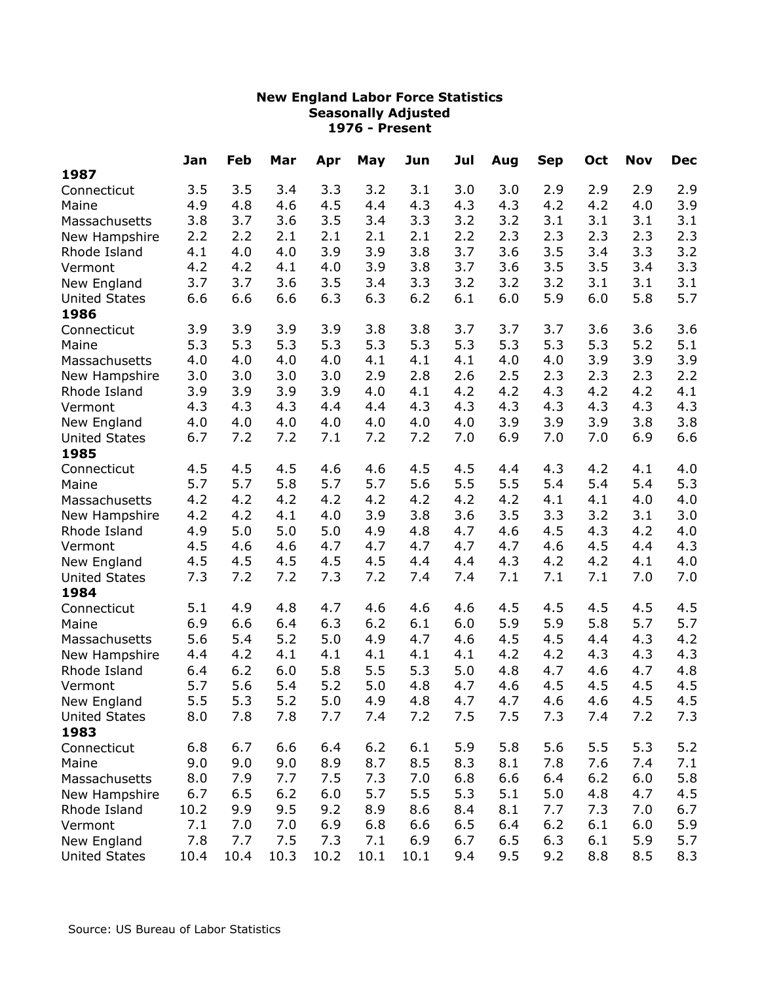|                      | Jan  | Feb  | Mar  | Apr  | May  | Jun  | Jul | Aug | <b>Sep</b> | Oct | <b>Nov</b> | <b>Dec</b> |
|----------------------|------|------|------|------|------|------|-----|-----|------------|-----|------------|------------|
| 1987                 |      |      |      |      |      |      |     |     |            |     |            |            |
| Connecticut          | 3.5  | 3.5  | 3.4  | 3.3  | 3.2  | 3.1  | 3.0 | 3.0 | 2.9        | 2.9 | 2.9        | 2.9        |
| Maine                | 4.9  | 4.8  | 4.6  | 4.5  | 4.4  | 4.3  | 4.3 | 4.3 | 4.2        | 4.2 | 4.0        | 3.9        |
| Massachusetts        | 3.8  | 3.7  | 3.6  | 3.5  | 3.4  | 3.3  | 3.2 | 3.2 | 3.1        | 3.1 | 3.1        | 3.1        |
| New Hampshire        | 2.2  | 2.2  | 2.1  | 2.1  | 2.1  | 2.1  | 2.2 | 2.3 | 2.3        | 2.3 | 2.3        | 2.3        |
| Rhode Island         | 4.1  | 4.0  | 4.0  | 3.9  | 3.9  | 3.8  | 3.7 | 3.6 | 3.5        | 3.4 | 3.3        | 3.2        |
| Vermont              | 4.2  | 4.2  | 4.1  | 4.0  | 3.9  | 3.8  | 3.7 | 3.6 | 3.5        | 3.5 | 3.4        | 3.3        |
| New England          | 3.7  | 3.7  | 3.6  | 3.5  | 3.4  | 3.3  | 3.2 | 3.2 | 3.2        | 3.1 | 3.1        | 3.1        |
| <b>United States</b> | 6.6  | 6.6  | 6.6  | 6.3  | 6.3  | 6.2  | 6.1 | 6.0 | 5.9        | 6.0 | 5.8        | 5.7        |
| 1986                 |      |      |      |      |      |      |     |     |            |     |            |            |
| Connecticut          | 3.9  | 3.9  | 3.9  | 3.9  | 3.8  | 3.8  | 3.7 | 3.7 | 3.7        | 3.6 | 3.6        | 3.6        |
| Maine                | 5.3  | 5.3  | 5.3  | 5.3  | 5.3  | 5.3  | 5.3 | 5.3 | 5.3        | 5.3 | 5.2        | 5.1        |
| Massachusetts        | 4.0  | 4.0  | 4.0  | 4.0  | 4.1  | 4.1  | 4.1 | 4.0 | 4.0        | 3.9 | 3.9        | 3.9        |
| New Hampshire        | 3.0  | 3.0  | 3.0  | 3.0  | 2.9  | 2.8  | 2.6 | 2.5 | 2.3        | 2.3 | 2.3        | 2.2        |
| Rhode Island         | 3.9  | 3.9  | 3.9  | 3.9  | 4.0  | 4.1  | 4.2 | 4.2 | 4.3        | 4.2 | 4.2        | 4.1        |
| Vermont              | 4.3  | 4.3  | 4.3  | 4.4  | 4.4  | 4.3  | 4.3 | 4.3 | 4.3        | 4.3 | 4.3        | 4.3        |
| New England          | 4.0  | 4.0  | 4.0  | 4.0  | 4.0  | 4.0  | 4.0 | 3.9 | 3.9        | 3.9 | 3.8        | 3.8        |
| <b>United States</b> | 6.7  | 7.2  | 7.2  | 7.1  | 7.2  | 7.2  | 7.0 | 6.9 | 7.0        | 7.0 | 6.9        | 6.6        |
| 1985                 |      |      |      |      |      |      |     |     |            |     |            |            |
| Connecticut          | 4.5  | 4.5  | 4.5  | 4.6  | 4.6  | 4.5  | 4.5 | 4.4 | 4.3        | 4.2 | 4.1        | 4.0        |
| Maine                | 5.7  | 5.7  | 5.8  | 5.7  | 5.7  | 5.6  | 5.5 | 5.5 | 5.4        | 5.4 | 5.4        | 5.3        |
| Massachusetts        | 4.2  | 4.2  | 4.2  | 4.2  | 4.2  | 4.2  | 4.2 | 4.2 | 4.1        | 4.1 | 4.0        | 4.0        |
| New Hampshire        | 4.2  | 4.2  | 4.1  | 4.0  | 3.9  | 3.8  | 3.6 | 3.5 | 3.3        | 3.2 | 3.1        | 3.0        |
| Rhode Island         | 4.9  | 5.0  | 5.0  | 5.0  | 4.9  | 4.8  | 4.7 | 4.6 | 4.5        | 4.3 | 4.2        | 4.0        |
| Vermont              | 4.5  | 4.6  | 4.6  | 4.7  | 4.7  | 4.7  | 4.7 | 4.7 | 4.6        | 4.5 | 4.4        | 4.3        |
| New England          | 4.5  | 4.5  | 4.5  | 4.5  | 4.5  | 4.4  | 4.4 | 4.3 | 4.2        | 4.2 | 4.1        | $4.0\,$    |
| <b>United States</b> | 7.3  | 7.2  | 7.2  | 7.3  | 7.2  | 7.4  | 7.4 | 7.1 | 7.1        | 7.1 | 7.0        | 7.0        |
| 1984                 |      |      |      |      |      |      |     |     |            |     |            |            |
| Connecticut          | 5.1  | 4.9  | 4.8  | 4.7  | 4.6  | 4.6  | 4.6 | 4.5 | 4.5        | 4.5 | 4.5        | 4.5        |
| Maine                | 6.9  | 6.6  | 6.4  | 6.3  | 6.2  | 6.1  | 6.0 | 5.9 | 5.9        | 5.8 | 5.7        | 5.7        |
| Massachusetts        | 5.6  | 5.4  | 5.2  | 5.0  | 4.9  | 4.7  | 4.6 | 4.5 | 4.5        | 4.4 | 4.3        | 4.2        |
| New Hampshire        | 4.4  | 4.2  | 4.1  | 4.1  | 4.1  | 4.1  | 4.1 | 4.2 | 4.2        | 4.3 | 4.3        | 4.3        |
| Rhode Island         | 6.4  | 6.2  | 6.0  | 5.8  | 5.5  | 5.3  | 5.0 | 4.8 | 4.7        | 4.6 | 4.7        | 4.8        |
| Vermont              | 5.7  | 5.6  | 5.4  | 5.2  | 5.0  | 4.8  | 4.7 | 4.6 | 4.5        | 4.5 | 4.5        | 4.5        |
| New England          | 5.5  | 5.3  | 5.2  | 5.0  | 4.9  | 4.8  | 4.7 | 4.7 | 4.6        | 4.6 | 4.5        | 4.5        |
| <b>United States</b> | 8.0  | 7.8  | 7.8  | 7.7  | 7.4  | 7.2  | 7.5 | 7.5 | 7.3        | 7.4 | 7.2        | 7.3        |
| 1983                 |      |      |      |      |      |      |     |     |            |     |            |            |
| Connecticut          | 6.8  | 6.7  | 6.6  | 6.4  | 6.2  | 6.1  | 5.9 | 5.8 | 5.6        | 5.5 | 5.3        | 5.2        |
| Maine                | 9.0  | 9.0  | 9.0  | 8.9  | 8.7  | 8.5  | 8.3 | 8.1 | 7.8        | 7.6 | 7.4        | 7.1        |
| Massachusetts        | 8.0  | 7.9  | 7.7  | 7.5  | 7.3  | 7.0  | 6.8 | 6.6 | 6.4        | 6.2 | 6.0        | 5.8        |
| New Hampshire        | 6.7  | 6.5  | 6.2  | 6.0  | 5.7  | 5.5  | 5.3 | 5.1 | 5.0        | 4.8 | 4.7        | 4.5        |
| Rhode Island         | 10.2 | 9.9  | 9.5  | 9.2  | 8.9  | 8.6  | 8.4 | 8.1 | 7.7        | 7.3 | 7.0        | 6.7        |
| Vermont              | 7.1  | 7.0  | 7.0  | 6.9  | 6.8  | 6.6  | 6.5 | 6.4 | 6.2        | 6.1 | 6.0        | 5.9        |
| New England          | 7.8  | 7.7  | 7.5  | 7.3  | 7.1  | 6.9  | 6.7 | 6.5 | 6.3        | 6.1 | 5.9        | 5.7        |
| <b>United States</b> | 10.4 | 10.4 | 10.3 | 10.2 | 10.1 | 10.1 | 9.4 | 9.5 | 9.2        | 8.8 | 8.5        | 8.3        |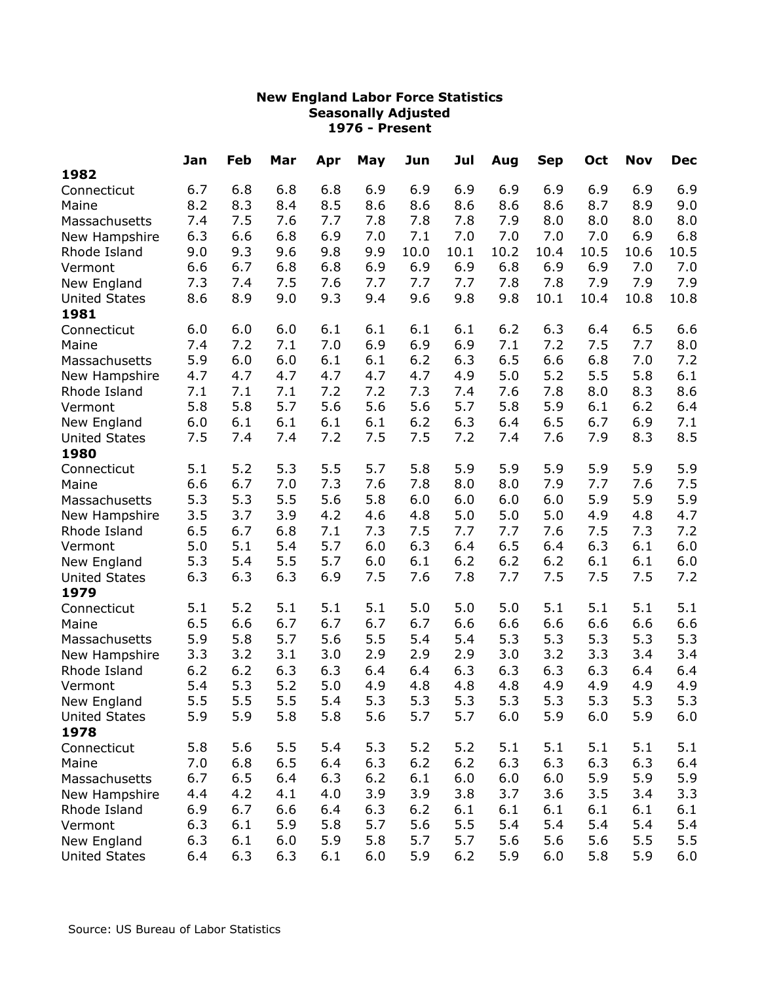| 1982<br>6.9<br>6.8<br>6.8<br>6.9<br>6.9<br>6.9<br>6.9<br>6.9<br>6.9<br>6.9<br>6.7<br>6.8<br>8.2<br>9.0<br>8.3<br>8.4<br>8.5<br>8.6<br>8.6<br>8.6<br>8.6<br>8.6<br>8.7<br>8.9<br>8.0<br>7.4<br>7.5<br>7.7<br>7.8<br>7.8<br>7.8<br>8.0<br>8.0<br>8.0<br>7.6<br>7.9<br>6.3<br>6.8<br>6.6<br>6.8<br>6.9<br>7.0<br>7.1<br>7.0<br>7.0<br>7.0<br>7.0<br>6.9<br>9.3<br>10.5<br>9.0<br>9.6<br>9.8<br>9.9<br>10.0<br>10.1<br>10.2<br>10.4<br>10.5<br>10.6<br>6.6<br>6.7<br>6.9<br>6.9<br>6.9<br>6.8<br>6.9<br>6.9<br>7.0<br>7.0<br>6.8<br>6.8<br>7.9<br>7.3<br>7.9<br>7.9<br>7.4<br>7.5<br>7.6<br>7.7<br>7.7<br>7.7<br>7.8<br>7.8<br>9.3<br>9.8<br>10.8<br>8.6<br>8.9<br>9.0<br>9.4<br>9.6<br>9.8<br>10.1<br>10.4<br>10.8<br>6.3<br>6.5<br>6.6<br>6.0<br>6.0<br>6.0<br>6.1<br>6.1<br>6.1<br>6.1<br>6.2<br>6.4<br>Connecticut<br>7.5<br>7.2<br>7.0<br>6.9<br>6.9<br>6.9<br>7.1<br>7.2<br>7.7<br>8.0<br>7.4<br>7.1<br>Maine<br>5.9<br>6.0<br>6.2<br>6.3<br>6.6<br>6.8<br>7.2<br>6.0<br>6.1<br>6.1<br>6.5<br>7.0<br>Massachusetts<br>5.2<br>5.5<br>6.1<br>4.7<br>4.7<br>4.7<br>4.7<br>4.7<br>4.7<br>4.9<br>5.0<br>5.8<br>New Hampshire<br>7.2<br>7.8<br>8.3<br>8.6<br>7.1<br>7.1<br>7.1<br>7.2<br>7.3<br>7.4<br>7.6<br>8.0<br>Rhode Island<br>5.8<br>5.8<br>5.7<br>5.6<br>5.6<br>5.6<br>5.7<br>5.8<br>5.9<br>6.2<br>6.4<br>6.1<br>Vermont<br>7.1<br>6.0<br>6.1<br>6.1<br>6.2<br>6.3<br>6.5<br>6.7<br>6.9<br>New England<br>6.1<br>6.1<br>6.4<br>8.5<br>7.5<br>7.2<br>7.5<br>7.5<br>7.2<br>7.6<br>7.9<br>8.3<br>7.4<br>7.4<br>7.4<br><b>United States</b><br>1980<br>5.9<br>5.1<br>5.2<br>5.3<br>5.5<br>5.7<br>5.8<br>5.9<br>5.9<br>5.9<br>5.9<br>5.9<br>Connecticut<br>6.6<br>7.5<br>6.7<br>7.3<br>7.6<br>7.8<br>8.0<br>8.0<br>7.9<br>7.7<br>7.0<br>7.6<br>Maine<br>5.9<br>5.3<br>5.3<br>5.8<br>5.9<br>5.5<br>5.6<br>6.0<br>6.0<br>6.0<br>6.0<br>5.9<br>Massachusetts<br>5.0<br>4.7<br>3.5<br>3.7<br>4.2<br>4.8<br>5.0<br>5.0<br>3.9<br>4.6<br>4.9<br>4.8<br>New Hampshire<br>7.2<br>6.5<br>6.7<br>7.1<br>7.3<br>7.5<br>7.7<br>7.7<br>7.6<br>7.5<br>7.3<br>6.8<br>Rhode Island<br>5.0<br>5.1<br>6.3<br>6.3<br>6.1<br>6.0<br>5.4<br>5.7<br>6.0<br>6.4<br>6.5<br>6.4<br>Vermont<br>5.5<br>5.7<br>6.2<br>6.0<br>5.3<br>5.4<br>6.0<br>6.1<br>6.2<br>6.2<br>6.1<br>6.1<br>New England<br>6.3<br>6.3<br>6.3<br>6.9<br>7.5<br>7.6<br>7.8<br>7.5<br>7.5<br>7.2<br>7.7<br>7.5<br><b>United States</b><br>1979<br>5.1<br>5.0<br>5.1<br>5.1<br>5.1<br>5.2<br>5.1<br>5.1<br>5.0<br>5.0<br>5.1<br>5.1<br>Connecticut<br>6.6<br>6.5<br>6.6<br>6.7<br>6.6<br>6.6<br>6.7<br>6.7<br>6.7<br>6.6<br>6.6<br>6.6<br>Maine<br>5.3<br>5.9<br>5.8<br>5.7<br>5.6<br>5.5<br>5.3<br>5.3<br>5.3<br>5.3<br>5.4<br>5.4<br>Massachusetts<br>3.4<br>3.3<br>3.2<br>3.0<br>2.9<br>2.9<br>3.2<br>3.3<br>3.1<br>2.9<br>3.0<br>3.4<br>New Hampshire<br>6.2<br>6.2<br>6.3<br>6.4<br>6.3<br>6.3<br>6.4<br>6.4<br>6.3<br>6.3<br>Rhode Island<br>6.3<br>6.4<br>4.9<br>5.3<br>5.4<br>5.2<br>5.0<br>4.9<br>4.8<br>4.9<br>4.9<br>4.9<br>4.8<br>4.8<br>Vermont<br>5.3<br>5.3<br>5.5<br>5.5<br>5.5<br>5.4<br>5.3<br>5.3<br>5.3<br>5.3<br>5.3<br>5.3<br>New England<br>5.7<br>5.7<br>5.9<br>5.8<br>5.6<br>5.9<br>5.9<br>5.8<br>6.0<br>6.0<br>5.9<br>6.0<br><b>United States</b><br>1978<br>5.6<br>5.3<br>5.2<br>5.1<br>5.1<br>5.1<br>5.1<br>5.8<br>5.5<br>5.4<br>5.2<br>5.1<br>Connecticut<br>7.0<br>6.8<br>6.5<br>6.3<br>6.2<br>6.2<br>6.3<br>6.3<br>6.3<br>6.4<br>6.4<br>6.3<br>Maine<br>5.9<br>6.5<br>6.2<br>6.0<br>5.9<br>6.7<br>6.4<br>6.3<br>6.1<br>6.0<br>6.0<br>5.9<br>Massachusetts |                      | Jan | Feb | Mar | Apr | May | Jun | Jul | Aug | <b>Sep</b> | Oct | <b>Nov</b> | <b>Dec</b> |
|----------------------------------------------------------------------------------------------------------------------------------------------------------------------------------------------------------------------------------------------------------------------------------------------------------------------------------------------------------------------------------------------------------------------------------------------------------------------------------------------------------------------------------------------------------------------------------------------------------------------------------------------------------------------------------------------------------------------------------------------------------------------------------------------------------------------------------------------------------------------------------------------------------------------------------------------------------------------------------------------------------------------------------------------------------------------------------------------------------------------------------------------------------------------------------------------------------------------------------------------------------------------------------------------------------------------------------------------------------------------------------------------------------------------------------------------------------------------------------------------------------------------------------------------------------------------------------------------------------------------------------------------------------------------------------------------------------------------------------------------------------------------------------------------------------------------------------------------------------------------------------------------------------------------------------------------------------------------------------------------------------------------------------------------------------------------------------------------------------------------------------------------------------------------------------------------------------------------------------------------------------------------------------------------------------------------------------------------------------------------------------------------------------------------------------------------------------------------------------------------------------------------------------------------------------------------------------------------------------------------------------------------------------------------------------------------------------------------------------------------------------------------------------------------------------------------------------------------------------------------------------------------------------------------------------------------------------------------------------------------------------------------------------------------------------------------------------------------------------------------------------------------------------------------------------------------------------------------------------------------------------------------------------------------------------------------------------------------------------------------------------------------------------------------------------------------------------------------------------------------------------------------------------|----------------------|-----|-----|-----|-----|-----|-----|-----|-----|------------|-----|------------|------------|
|                                                                                                                                                                                                                                                                                                                                                                                                                                                                                                                                                                                                                                                                                                                                                                                                                                                                                                                                                                                                                                                                                                                                                                                                                                                                                                                                                                                                                                                                                                                                                                                                                                                                                                                                                                                                                                                                                                                                                                                                                                                                                                                                                                                                                                                                                                                                                                                                                                                                                                                                                                                                                                                                                                                                                                                                                                                                                                                                                                                                                                                                                                                                                                                                                                                                                                                                                                                                                                                                                                                                  |                      |     |     |     |     |     |     |     |     |            |     |            |            |
|                                                                                                                                                                                                                                                                                                                                                                                                                                                                                                                                                                                                                                                                                                                                                                                                                                                                                                                                                                                                                                                                                                                                                                                                                                                                                                                                                                                                                                                                                                                                                                                                                                                                                                                                                                                                                                                                                                                                                                                                                                                                                                                                                                                                                                                                                                                                                                                                                                                                                                                                                                                                                                                                                                                                                                                                                                                                                                                                                                                                                                                                                                                                                                                                                                                                                                                                                                                                                                                                                                                                  | Connecticut          |     |     |     |     |     |     |     |     |            |     |            |            |
|                                                                                                                                                                                                                                                                                                                                                                                                                                                                                                                                                                                                                                                                                                                                                                                                                                                                                                                                                                                                                                                                                                                                                                                                                                                                                                                                                                                                                                                                                                                                                                                                                                                                                                                                                                                                                                                                                                                                                                                                                                                                                                                                                                                                                                                                                                                                                                                                                                                                                                                                                                                                                                                                                                                                                                                                                                                                                                                                                                                                                                                                                                                                                                                                                                                                                                                                                                                                                                                                                                                                  | Maine                |     |     |     |     |     |     |     |     |            |     |            |            |
|                                                                                                                                                                                                                                                                                                                                                                                                                                                                                                                                                                                                                                                                                                                                                                                                                                                                                                                                                                                                                                                                                                                                                                                                                                                                                                                                                                                                                                                                                                                                                                                                                                                                                                                                                                                                                                                                                                                                                                                                                                                                                                                                                                                                                                                                                                                                                                                                                                                                                                                                                                                                                                                                                                                                                                                                                                                                                                                                                                                                                                                                                                                                                                                                                                                                                                                                                                                                                                                                                                                                  | Massachusetts        |     |     |     |     |     |     |     |     |            |     |            |            |
|                                                                                                                                                                                                                                                                                                                                                                                                                                                                                                                                                                                                                                                                                                                                                                                                                                                                                                                                                                                                                                                                                                                                                                                                                                                                                                                                                                                                                                                                                                                                                                                                                                                                                                                                                                                                                                                                                                                                                                                                                                                                                                                                                                                                                                                                                                                                                                                                                                                                                                                                                                                                                                                                                                                                                                                                                                                                                                                                                                                                                                                                                                                                                                                                                                                                                                                                                                                                                                                                                                                                  | New Hampshire        |     |     |     |     |     |     |     |     |            |     |            |            |
|                                                                                                                                                                                                                                                                                                                                                                                                                                                                                                                                                                                                                                                                                                                                                                                                                                                                                                                                                                                                                                                                                                                                                                                                                                                                                                                                                                                                                                                                                                                                                                                                                                                                                                                                                                                                                                                                                                                                                                                                                                                                                                                                                                                                                                                                                                                                                                                                                                                                                                                                                                                                                                                                                                                                                                                                                                                                                                                                                                                                                                                                                                                                                                                                                                                                                                                                                                                                                                                                                                                                  | Rhode Island         |     |     |     |     |     |     |     |     |            |     |            |            |
|                                                                                                                                                                                                                                                                                                                                                                                                                                                                                                                                                                                                                                                                                                                                                                                                                                                                                                                                                                                                                                                                                                                                                                                                                                                                                                                                                                                                                                                                                                                                                                                                                                                                                                                                                                                                                                                                                                                                                                                                                                                                                                                                                                                                                                                                                                                                                                                                                                                                                                                                                                                                                                                                                                                                                                                                                                                                                                                                                                                                                                                                                                                                                                                                                                                                                                                                                                                                                                                                                                                                  | Vermont              |     |     |     |     |     |     |     |     |            |     |            |            |
|                                                                                                                                                                                                                                                                                                                                                                                                                                                                                                                                                                                                                                                                                                                                                                                                                                                                                                                                                                                                                                                                                                                                                                                                                                                                                                                                                                                                                                                                                                                                                                                                                                                                                                                                                                                                                                                                                                                                                                                                                                                                                                                                                                                                                                                                                                                                                                                                                                                                                                                                                                                                                                                                                                                                                                                                                                                                                                                                                                                                                                                                                                                                                                                                                                                                                                                                                                                                                                                                                                                                  | New England          |     |     |     |     |     |     |     |     |            |     |            |            |
|                                                                                                                                                                                                                                                                                                                                                                                                                                                                                                                                                                                                                                                                                                                                                                                                                                                                                                                                                                                                                                                                                                                                                                                                                                                                                                                                                                                                                                                                                                                                                                                                                                                                                                                                                                                                                                                                                                                                                                                                                                                                                                                                                                                                                                                                                                                                                                                                                                                                                                                                                                                                                                                                                                                                                                                                                                                                                                                                                                                                                                                                                                                                                                                                                                                                                                                                                                                                                                                                                                                                  | <b>United States</b> |     |     |     |     |     |     |     |     |            |     |            |            |
|                                                                                                                                                                                                                                                                                                                                                                                                                                                                                                                                                                                                                                                                                                                                                                                                                                                                                                                                                                                                                                                                                                                                                                                                                                                                                                                                                                                                                                                                                                                                                                                                                                                                                                                                                                                                                                                                                                                                                                                                                                                                                                                                                                                                                                                                                                                                                                                                                                                                                                                                                                                                                                                                                                                                                                                                                                                                                                                                                                                                                                                                                                                                                                                                                                                                                                                                                                                                                                                                                                                                  | 1981                 |     |     |     |     |     |     |     |     |            |     |            |            |
|                                                                                                                                                                                                                                                                                                                                                                                                                                                                                                                                                                                                                                                                                                                                                                                                                                                                                                                                                                                                                                                                                                                                                                                                                                                                                                                                                                                                                                                                                                                                                                                                                                                                                                                                                                                                                                                                                                                                                                                                                                                                                                                                                                                                                                                                                                                                                                                                                                                                                                                                                                                                                                                                                                                                                                                                                                                                                                                                                                                                                                                                                                                                                                                                                                                                                                                                                                                                                                                                                                                                  |                      |     |     |     |     |     |     |     |     |            |     |            |            |
|                                                                                                                                                                                                                                                                                                                                                                                                                                                                                                                                                                                                                                                                                                                                                                                                                                                                                                                                                                                                                                                                                                                                                                                                                                                                                                                                                                                                                                                                                                                                                                                                                                                                                                                                                                                                                                                                                                                                                                                                                                                                                                                                                                                                                                                                                                                                                                                                                                                                                                                                                                                                                                                                                                                                                                                                                                                                                                                                                                                                                                                                                                                                                                                                                                                                                                                                                                                                                                                                                                                                  |                      |     |     |     |     |     |     |     |     |            |     |            |            |
|                                                                                                                                                                                                                                                                                                                                                                                                                                                                                                                                                                                                                                                                                                                                                                                                                                                                                                                                                                                                                                                                                                                                                                                                                                                                                                                                                                                                                                                                                                                                                                                                                                                                                                                                                                                                                                                                                                                                                                                                                                                                                                                                                                                                                                                                                                                                                                                                                                                                                                                                                                                                                                                                                                                                                                                                                                                                                                                                                                                                                                                                                                                                                                                                                                                                                                                                                                                                                                                                                                                                  |                      |     |     |     |     |     |     |     |     |            |     |            |            |
|                                                                                                                                                                                                                                                                                                                                                                                                                                                                                                                                                                                                                                                                                                                                                                                                                                                                                                                                                                                                                                                                                                                                                                                                                                                                                                                                                                                                                                                                                                                                                                                                                                                                                                                                                                                                                                                                                                                                                                                                                                                                                                                                                                                                                                                                                                                                                                                                                                                                                                                                                                                                                                                                                                                                                                                                                                                                                                                                                                                                                                                                                                                                                                                                                                                                                                                                                                                                                                                                                                                                  |                      |     |     |     |     |     |     |     |     |            |     |            |            |
|                                                                                                                                                                                                                                                                                                                                                                                                                                                                                                                                                                                                                                                                                                                                                                                                                                                                                                                                                                                                                                                                                                                                                                                                                                                                                                                                                                                                                                                                                                                                                                                                                                                                                                                                                                                                                                                                                                                                                                                                                                                                                                                                                                                                                                                                                                                                                                                                                                                                                                                                                                                                                                                                                                                                                                                                                                                                                                                                                                                                                                                                                                                                                                                                                                                                                                                                                                                                                                                                                                                                  |                      |     |     |     |     |     |     |     |     |            |     |            |            |
|                                                                                                                                                                                                                                                                                                                                                                                                                                                                                                                                                                                                                                                                                                                                                                                                                                                                                                                                                                                                                                                                                                                                                                                                                                                                                                                                                                                                                                                                                                                                                                                                                                                                                                                                                                                                                                                                                                                                                                                                                                                                                                                                                                                                                                                                                                                                                                                                                                                                                                                                                                                                                                                                                                                                                                                                                                                                                                                                                                                                                                                                                                                                                                                                                                                                                                                                                                                                                                                                                                                                  |                      |     |     |     |     |     |     |     |     |            |     |            |            |
|                                                                                                                                                                                                                                                                                                                                                                                                                                                                                                                                                                                                                                                                                                                                                                                                                                                                                                                                                                                                                                                                                                                                                                                                                                                                                                                                                                                                                                                                                                                                                                                                                                                                                                                                                                                                                                                                                                                                                                                                                                                                                                                                                                                                                                                                                                                                                                                                                                                                                                                                                                                                                                                                                                                                                                                                                                                                                                                                                                                                                                                                                                                                                                                                                                                                                                                                                                                                                                                                                                                                  |                      |     |     |     |     |     |     |     |     |            |     |            |            |
|                                                                                                                                                                                                                                                                                                                                                                                                                                                                                                                                                                                                                                                                                                                                                                                                                                                                                                                                                                                                                                                                                                                                                                                                                                                                                                                                                                                                                                                                                                                                                                                                                                                                                                                                                                                                                                                                                                                                                                                                                                                                                                                                                                                                                                                                                                                                                                                                                                                                                                                                                                                                                                                                                                                                                                                                                                                                                                                                                                                                                                                                                                                                                                                                                                                                                                                                                                                                                                                                                                                                  |                      |     |     |     |     |     |     |     |     |            |     |            |            |
|                                                                                                                                                                                                                                                                                                                                                                                                                                                                                                                                                                                                                                                                                                                                                                                                                                                                                                                                                                                                                                                                                                                                                                                                                                                                                                                                                                                                                                                                                                                                                                                                                                                                                                                                                                                                                                                                                                                                                                                                                                                                                                                                                                                                                                                                                                                                                                                                                                                                                                                                                                                                                                                                                                                                                                                                                                                                                                                                                                                                                                                                                                                                                                                                                                                                                                                                                                                                                                                                                                                                  |                      |     |     |     |     |     |     |     |     |            |     |            |            |
|                                                                                                                                                                                                                                                                                                                                                                                                                                                                                                                                                                                                                                                                                                                                                                                                                                                                                                                                                                                                                                                                                                                                                                                                                                                                                                                                                                                                                                                                                                                                                                                                                                                                                                                                                                                                                                                                                                                                                                                                                                                                                                                                                                                                                                                                                                                                                                                                                                                                                                                                                                                                                                                                                                                                                                                                                                                                                                                                                                                                                                                                                                                                                                                                                                                                                                                                                                                                                                                                                                                                  |                      |     |     |     |     |     |     |     |     |            |     |            |            |
|                                                                                                                                                                                                                                                                                                                                                                                                                                                                                                                                                                                                                                                                                                                                                                                                                                                                                                                                                                                                                                                                                                                                                                                                                                                                                                                                                                                                                                                                                                                                                                                                                                                                                                                                                                                                                                                                                                                                                                                                                                                                                                                                                                                                                                                                                                                                                                                                                                                                                                                                                                                                                                                                                                                                                                                                                                                                                                                                                                                                                                                                                                                                                                                                                                                                                                                                                                                                                                                                                                                                  |                      |     |     |     |     |     |     |     |     |            |     |            |            |
|                                                                                                                                                                                                                                                                                                                                                                                                                                                                                                                                                                                                                                                                                                                                                                                                                                                                                                                                                                                                                                                                                                                                                                                                                                                                                                                                                                                                                                                                                                                                                                                                                                                                                                                                                                                                                                                                                                                                                                                                                                                                                                                                                                                                                                                                                                                                                                                                                                                                                                                                                                                                                                                                                                                                                                                                                                                                                                                                                                                                                                                                                                                                                                                                                                                                                                                                                                                                                                                                                                                                  |                      |     |     |     |     |     |     |     |     |            |     |            |            |
|                                                                                                                                                                                                                                                                                                                                                                                                                                                                                                                                                                                                                                                                                                                                                                                                                                                                                                                                                                                                                                                                                                                                                                                                                                                                                                                                                                                                                                                                                                                                                                                                                                                                                                                                                                                                                                                                                                                                                                                                                                                                                                                                                                                                                                                                                                                                                                                                                                                                                                                                                                                                                                                                                                                                                                                                                                                                                                                                                                                                                                                                                                                                                                                                                                                                                                                                                                                                                                                                                                                                  |                      |     |     |     |     |     |     |     |     |            |     |            |            |
|                                                                                                                                                                                                                                                                                                                                                                                                                                                                                                                                                                                                                                                                                                                                                                                                                                                                                                                                                                                                                                                                                                                                                                                                                                                                                                                                                                                                                                                                                                                                                                                                                                                                                                                                                                                                                                                                                                                                                                                                                                                                                                                                                                                                                                                                                                                                                                                                                                                                                                                                                                                                                                                                                                                                                                                                                                                                                                                                                                                                                                                                                                                                                                                                                                                                                                                                                                                                                                                                                                                                  |                      |     |     |     |     |     |     |     |     |            |     |            |            |
|                                                                                                                                                                                                                                                                                                                                                                                                                                                                                                                                                                                                                                                                                                                                                                                                                                                                                                                                                                                                                                                                                                                                                                                                                                                                                                                                                                                                                                                                                                                                                                                                                                                                                                                                                                                                                                                                                                                                                                                                                                                                                                                                                                                                                                                                                                                                                                                                                                                                                                                                                                                                                                                                                                                                                                                                                                                                                                                                                                                                                                                                                                                                                                                                                                                                                                                                                                                                                                                                                                                                  |                      |     |     |     |     |     |     |     |     |            |     |            |            |
|                                                                                                                                                                                                                                                                                                                                                                                                                                                                                                                                                                                                                                                                                                                                                                                                                                                                                                                                                                                                                                                                                                                                                                                                                                                                                                                                                                                                                                                                                                                                                                                                                                                                                                                                                                                                                                                                                                                                                                                                                                                                                                                                                                                                                                                                                                                                                                                                                                                                                                                                                                                                                                                                                                                                                                                                                                                                                                                                                                                                                                                                                                                                                                                                                                                                                                                                                                                                                                                                                                                                  |                      |     |     |     |     |     |     |     |     |            |     |            |            |
|                                                                                                                                                                                                                                                                                                                                                                                                                                                                                                                                                                                                                                                                                                                                                                                                                                                                                                                                                                                                                                                                                                                                                                                                                                                                                                                                                                                                                                                                                                                                                                                                                                                                                                                                                                                                                                                                                                                                                                                                                                                                                                                                                                                                                                                                                                                                                                                                                                                                                                                                                                                                                                                                                                                                                                                                                                                                                                                                                                                                                                                                                                                                                                                                                                                                                                                                                                                                                                                                                                                                  |                      |     |     |     |     |     |     |     |     |            |     |            |            |
|                                                                                                                                                                                                                                                                                                                                                                                                                                                                                                                                                                                                                                                                                                                                                                                                                                                                                                                                                                                                                                                                                                                                                                                                                                                                                                                                                                                                                                                                                                                                                                                                                                                                                                                                                                                                                                                                                                                                                                                                                                                                                                                                                                                                                                                                                                                                                                                                                                                                                                                                                                                                                                                                                                                                                                                                                                                                                                                                                                                                                                                                                                                                                                                                                                                                                                                                                                                                                                                                                                                                  |                      |     |     |     |     |     |     |     |     |            |     |            |            |
|                                                                                                                                                                                                                                                                                                                                                                                                                                                                                                                                                                                                                                                                                                                                                                                                                                                                                                                                                                                                                                                                                                                                                                                                                                                                                                                                                                                                                                                                                                                                                                                                                                                                                                                                                                                                                                                                                                                                                                                                                                                                                                                                                                                                                                                                                                                                                                                                                                                                                                                                                                                                                                                                                                                                                                                                                                                                                                                                                                                                                                                                                                                                                                                                                                                                                                                                                                                                                                                                                                                                  |                      |     |     |     |     |     |     |     |     |            |     |            |            |
|                                                                                                                                                                                                                                                                                                                                                                                                                                                                                                                                                                                                                                                                                                                                                                                                                                                                                                                                                                                                                                                                                                                                                                                                                                                                                                                                                                                                                                                                                                                                                                                                                                                                                                                                                                                                                                                                                                                                                                                                                                                                                                                                                                                                                                                                                                                                                                                                                                                                                                                                                                                                                                                                                                                                                                                                                                                                                                                                                                                                                                                                                                                                                                                                                                                                                                                                                                                                                                                                                                                                  |                      |     |     |     |     |     |     |     |     |            |     |            |            |
|                                                                                                                                                                                                                                                                                                                                                                                                                                                                                                                                                                                                                                                                                                                                                                                                                                                                                                                                                                                                                                                                                                                                                                                                                                                                                                                                                                                                                                                                                                                                                                                                                                                                                                                                                                                                                                                                                                                                                                                                                                                                                                                                                                                                                                                                                                                                                                                                                                                                                                                                                                                                                                                                                                                                                                                                                                                                                                                                                                                                                                                                                                                                                                                                                                                                                                                                                                                                                                                                                                                                  |                      |     |     |     |     |     |     |     |     |            |     |            |            |
|                                                                                                                                                                                                                                                                                                                                                                                                                                                                                                                                                                                                                                                                                                                                                                                                                                                                                                                                                                                                                                                                                                                                                                                                                                                                                                                                                                                                                                                                                                                                                                                                                                                                                                                                                                                                                                                                                                                                                                                                                                                                                                                                                                                                                                                                                                                                                                                                                                                                                                                                                                                                                                                                                                                                                                                                                                                                                                                                                                                                                                                                                                                                                                                                                                                                                                                                                                                                                                                                                                                                  |                      |     |     |     |     |     |     |     |     |            |     |            |            |
|                                                                                                                                                                                                                                                                                                                                                                                                                                                                                                                                                                                                                                                                                                                                                                                                                                                                                                                                                                                                                                                                                                                                                                                                                                                                                                                                                                                                                                                                                                                                                                                                                                                                                                                                                                                                                                                                                                                                                                                                                                                                                                                                                                                                                                                                                                                                                                                                                                                                                                                                                                                                                                                                                                                                                                                                                                                                                                                                                                                                                                                                                                                                                                                                                                                                                                                                                                                                                                                                                                                                  |                      |     |     |     |     |     |     |     |     |            |     |            |            |
|                                                                                                                                                                                                                                                                                                                                                                                                                                                                                                                                                                                                                                                                                                                                                                                                                                                                                                                                                                                                                                                                                                                                                                                                                                                                                                                                                                                                                                                                                                                                                                                                                                                                                                                                                                                                                                                                                                                                                                                                                                                                                                                                                                                                                                                                                                                                                                                                                                                                                                                                                                                                                                                                                                                                                                                                                                                                                                                                                                                                                                                                                                                                                                                                                                                                                                                                                                                                                                                                                                                                  |                      |     |     |     |     |     |     |     |     |            |     |            |            |
|                                                                                                                                                                                                                                                                                                                                                                                                                                                                                                                                                                                                                                                                                                                                                                                                                                                                                                                                                                                                                                                                                                                                                                                                                                                                                                                                                                                                                                                                                                                                                                                                                                                                                                                                                                                                                                                                                                                                                                                                                                                                                                                                                                                                                                                                                                                                                                                                                                                                                                                                                                                                                                                                                                                                                                                                                                                                                                                                                                                                                                                                                                                                                                                                                                                                                                                                                                                                                                                                                                                                  |                      |     |     |     |     |     |     |     |     |            |     |            |            |
|                                                                                                                                                                                                                                                                                                                                                                                                                                                                                                                                                                                                                                                                                                                                                                                                                                                                                                                                                                                                                                                                                                                                                                                                                                                                                                                                                                                                                                                                                                                                                                                                                                                                                                                                                                                                                                                                                                                                                                                                                                                                                                                                                                                                                                                                                                                                                                                                                                                                                                                                                                                                                                                                                                                                                                                                                                                                                                                                                                                                                                                                                                                                                                                                                                                                                                                                                                                                                                                                                                                                  |                      |     |     |     |     |     |     |     |     |            |     |            |            |
|                                                                                                                                                                                                                                                                                                                                                                                                                                                                                                                                                                                                                                                                                                                                                                                                                                                                                                                                                                                                                                                                                                                                                                                                                                                                                                                                                                                                                                                                                                                                                                                                                                                                                                                                                                                                                                                                                                                                                                                                                                                                                                                                                                                                                                                                                                                                                                                                                                                                                                                                                                                                                                                                                                                                                                                                                                                                                                                                                                                                                                                                                                                                                                                                                                                                                                                                                                                                                                                                                                                                  |                      |     |     |     |     |     |     |     |     |            |     |            |            |
|                                                                                                                                                                                                                                                                                                                                                                                                                                                                                                                                                                                                                                                                                                                                                                                                                                                                                                                                                                                                                                                                                                                                                                                                                                                                                                                                                                                                                                                                                                                                                                                                                                                                                                                                                                                                                                                                                                                                                                                                                                                                                                                                                                                                                                                                                                                                                                                                                                                                                                                                                                                                                                                                                                                                                                                                                                                                                                                                                                                                                                                                                                                                                                                                                                                                                                                                                                                                                                                                                                                                  |                      |     |     |     |     |     |     |     |     |            |     |            |            |
|                                                                                                                                                                                                                                                                                                                                                                                                                                                                                                                                                                                                                                                                                                                                                                                                                                                                                                                                                                                                                                                                                                                                                                                                                                                                                                                                                                                                                                                                                                                                                                                                                                                                                                                                                                                                                                                                                                                                                                                                                                                                                                                                                                                                                                                                                                                                                                                                                                                                                                                                                                                                                                                                                                                                                                                                                                                                                                                                                                                                                                                                                                                                                                                                                                                                                                                                                                                                                                                                                                                                  |                      |     |     |     |     |     |     |     |     |            |     |            |            |
|                                                                                                                                                                                                                                                                                                                                                                                                                                                                                                                                                                                                                                                                                                                                                                                                                                                                                                                                                                                                                                                                                                                                                                                                                                                                                                                                                                                                                                                                                                                                                                                                                                                                                                                                                                                                                                                                                                                                                                                                                                                                                                                                                                                                                                                                                                                                                                                                                                                                                                                                                                                                                                                                                                                                                                                                                                                                                                                                                                                                                                                                                                                                                                                                                                                                                                                                                                                                                                                                                                                                  |                      |     |     |     |     |     |     |     |     |            |     |            |            |
| 4.2<br>3.3<br>4.4<br>4.1<br>4.0<br>3.9<br>3.9<br>3.8<br>3.7<br>3.6<br>3.5<br>3.4                                                                                                                                                                                                                                                                                                                                                                                                                                                                                                                                                                                                                                                                                                                                                                                                                                                                                                                                                                                                                                                                                                                                                                                                                                                                                                                                                                                                                                                                                                                                                                                                                                                                                                                                                                                                                                                                                                                                                                                                                                                                                                                                                                                                                                                                                                                                                                                                                                                                                                                                                                                                                                                                                                                                                                                                                                                                                                                                                                                                                                                                                                                                                                                                                                                                                                                                                                                                                                                 | New Hampshire        |     |     |     |     |     |     |     |     |            |     |            |            |
| 6.9<br>6.7<br>6.6<br>6.4<br>6.3<br>6.2<br>6.1<br>6.1<br>6.1<br>6.1<br>6.1<br>6.1                                                                                                                                                                                                                                                                                                                                                                                                                                                                                                                                                                                                                                                                                                                                                                                                                                                                                                                                                                                                                                                                                                                                                                                                                                                                                                                                                                                                                                                                                                                                                                                                                                                                                                                                                                                                                                                                                                                                                                                                                                                                                                                                                                                                                                                                                                                                                                                                                                                                                                                                                                                                                                                                                                                                                                                                                                                                                                                                                                                                                                                                                                                                                                                                                                                                                                                                                                                                                                                 | Rhode Island         |     |     |     |     |     |     |     |     |            |     |            |            |
| 5.5<br>5.4<br>5.4<br>6.3<br>6.1<br>5.9<br>5.8<br>5.7<br>5.6<br>5.4<br>5.4<br>5.4                                                                                                                                                                                                                                                                                                                                                                                                                                                                                                                                                                                                                                                                                                                                                                                                                                                                                                                                                                                                                                                                                                                                                                                                                                                                                                                                                                                                                                                                                                                                                                                                                                                                                                                                                                                                                                                                                                                                                                                                                                                                                                                                                                                                                                                                                                                                                                                                                                                                                                                                                                                                                                                                                                                                                                                                                                                                                                                                                                                                                                                                                                                                                                                                                                                                                                                                                                                                                                                 | Vermont              |     |     |     |     |     |     |     |     |            |     |            |            |
| 5.5<br>6.3<br>6.1<br>6.0<br>5.9<br>5.8<br>5.7<br>5.7<br>5.6<br>5.6<br>5.6<br>5.5                                                                                                                                                                                                                                                                                                                                                                                                                                                                                                                                                                                                                                                                                                                                                                                                                                                                                                                                                                                                                                                                                                                                                                                                                                                                                                                                                                                                                                                                                                                                                                                                                                                                                                                                                                                                                                                                                                                                                                                                                                                                                                                                                                                                                                                                                                                                                                                                                                                                                                                                                                                                                                                                                                                                                                                                                                                                                                                                                                                                                                                                                                                                                                                                                                                                                                                                                                                                                                                 | New England          |     |     |     |     |     |     |     |     |            |     |            |            |
| 6.4<br>6.3<br>6.3<br>5.9<br>6.2<br>5.9<br>5.8<br>5.9<br>6.0<br>6.1<br>6.0<br>6.0                                                                                                                                                                                                                                                                                                                                                                                                                                                                                                                                                                                                                                                                                                                                                                                                                                                                                                                                                                                                                                                                                                                                                                                                                                                                                                                                                                                                                                                                                                                                                                                                                                                                                                                                                                                                                                                                                                                                                                                                                                                                                                                                                                                                                                                                                                                                                                                                                                                                                                                                                                                                                                                                                                                                                                                                                                                                                                                                                                                                                                                                                                                                                                                                                                                                                                                                                                                                                                                 | <b>United States</b> |     |     |     |     |     |     |     |     |            |     |            |            |